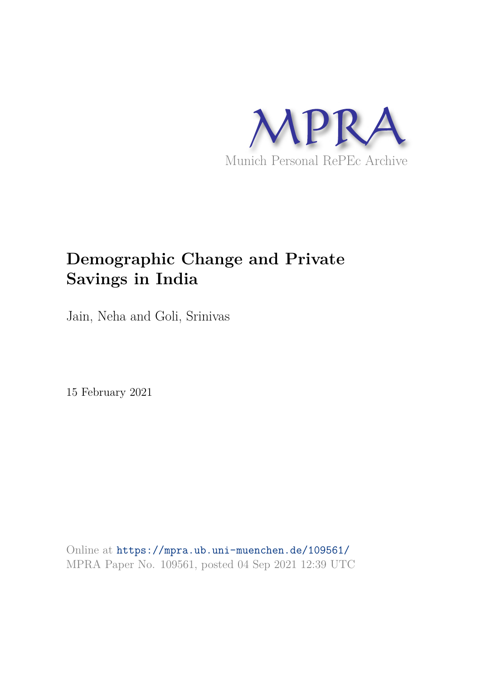

# **Demographic Change and Private Savings in India**

Jain, Neha and Goli, Srinivas

15 February 2021

Online at https://mpra.ub.uni-muenchen.de/109561/ MPRA Paper No. 109561, posted 04 Sep 2021 12:39 UTC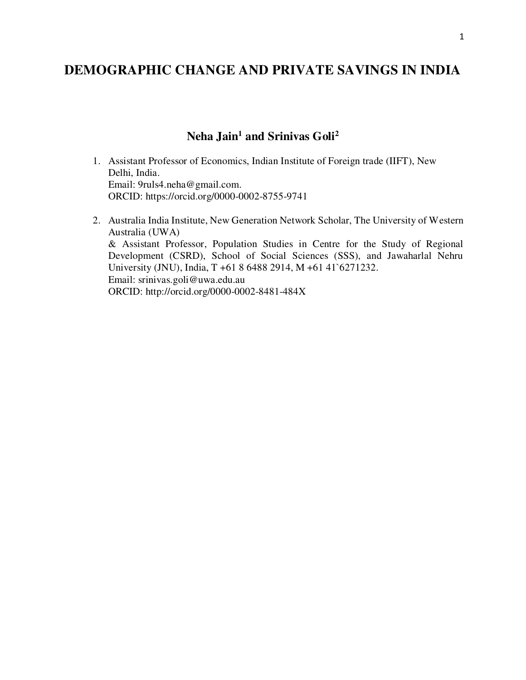# **DEMOGRAPHIC CHANGE AND PRIVATE SAVINGS IN INDIA**

# **Neha Jain<sup>1</sup> and Srinivas Goli<sup>2</sup>**

- 1. Assistant Professor of Economics, Indian Institute of Foreign trade (IIFT), New Delhi, India. Email: [9ruls4.neha@gmail.com.](mailto:9ruls4.neha@gmail.com) ORCID:<https://orcid.org/0000-0002-8755-9741>
- 2. Australia India Institute, New Generation Network Scholar, The University of Western Australia (UWA) & Assistant Professor, Population Studies in Centre for the Study of Regional Development (CSRD), School of Social Sciences (SSS), and Jawaharlal Nehru University (JNU), India, T +61 8 6488 2914, M +61 41`6271232. Email: srinivas.goli@uwa.edu.au ORCID:<http://orcid.org/0000-0002-8481-484X>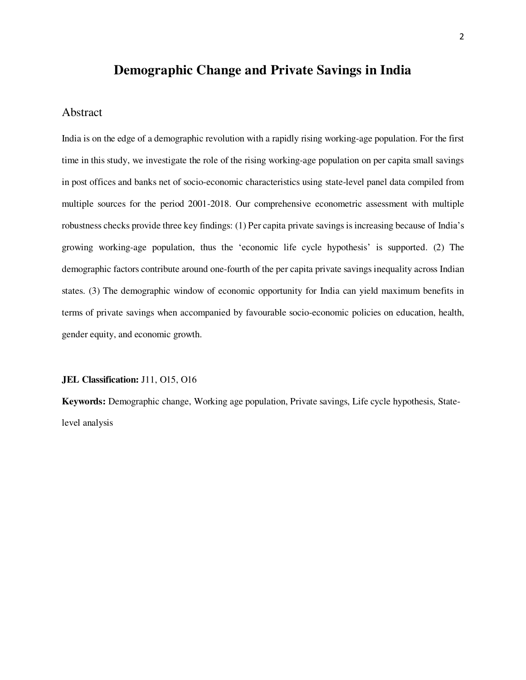# **Demographic Change and Private Savings in India**

#### Abstract

India is on the edge of a demographic revolution with a rapidly rising working-age population. For the first time in this study, we investigate the role of the rising working-age population on per capita small savings in post offices and banks net of socio-economic characteristics using state-level panel data compiled from multiple sources for the period 2001-2018. Our comprehensive econometric assessment with multiple robustness checks provide three key findings: (1) Per capita private savings is increasing because of India's growing working-age population, thus the 'economic life cycle hypothesis' is supported. (2) The demographic factors contribute around one-fourth of the per capita private savings inequality across Indian states. (3) The demographic window of economic opportunity for India can yield maximum benefits in terms of private savings when accompanied by favourable socio-economic policies on education, health, gender equity, and economic growth.

#### **JEL Classification:** J11, O15, O16

**Keywords:** Demographic change, Working age population, Private savings, Life cycle hypothesis, Statelevel analysis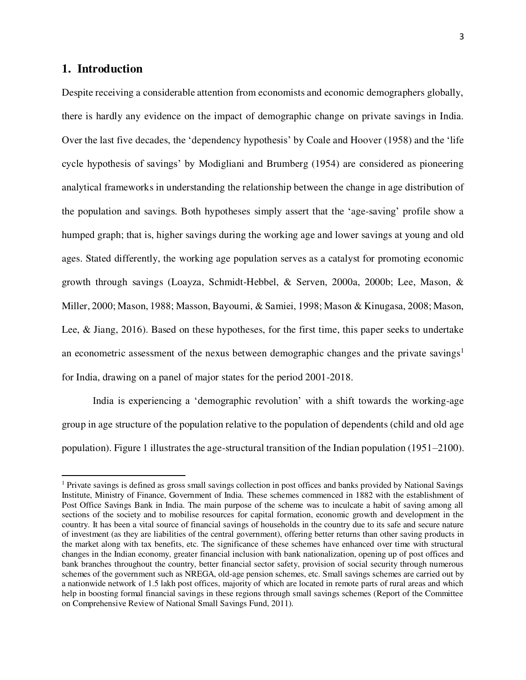# **1. Introduction**

 $\overline{a}$ 

Despite receiving a considerable attention from economists and economic demographers globally, there is hardly any evidence on the impact of demographic change on private savings in India. Over the last five decades, the 'dependency hypothesis' by Coale and Hoover (1958) and the 'life cycle hypothesis of savings' by Modigliani and Brumberg (1954) are considered as pioneering analytical frameworks in understanding the relationship between the change in age distribution of the population and savings. Both hypotheses simply assert that the 'age-saving' profile show a humped graph; that is, higher savings during the working age and lower savings at young and old ages. Stated differently, the working age population serves as a catalyst for promoting economic growth through savings (Loayza, Schmidt-Hebbel, & Serven, 2000a, 2000b; Lee, Mason, & Miller, 2000; Mason, 1988; Masson, Bayoumi, & Samiei, 1998; Mason & Kinugasa, 2008; Mason, Lee, & Jiang, 2016). Based on these hypotheses, for the first time, this paper seeks to undertake an econometric assessment of the nexus between demographic changes and the private savings<sup>1</sup> for India, drawing on a panel of major states for the period 2001-2018.

India is experiencing a 'demographic revolution' with a shift towards the working-age group in age structure of the population relative to the population of dependents (child and old age population). Figure 1 illustrates the age-structural transition of the Indian population (1951–2100).

<sup>&</sup>lt;sup>1</sup> Private savings is defined as gross small savings collection in post offices and banks provided by National Savings Institute, Ministry of Finance, Government of India. These schemes commenced in 1882 with the establishment of Post Office Savings Bank in India. The main purpose of the scheme was to inculcate a habit of saving among all sections of the society and to mobilise resources for capital formation, economic growth and development in the country. It has been a vital source of financial savings of households in the country due to its safe and secure nature of investment (as they are liabilities of the central government), offering better returns than other saving products in the market along with tax benefits, etc. The significance of these schemes have enhanced over time with structural changes in the Indian economy, greater financial inclusion with bank nationalization, opening up of post offices and bank branches throughout the country, better financial sector safety, provision of social security through numerous schemes of the government such as NREGA, old-age pension schemes, etc. Small savings schemes are carried out by a nationwide network of 1.5 lakh post offices, majority of which are located in remote parts of rural areas and which help in boosting formal financial savings in these regions through small savings schemes (Report of the Committee on Comprehensive Review of National Small Savings Fund, 2011).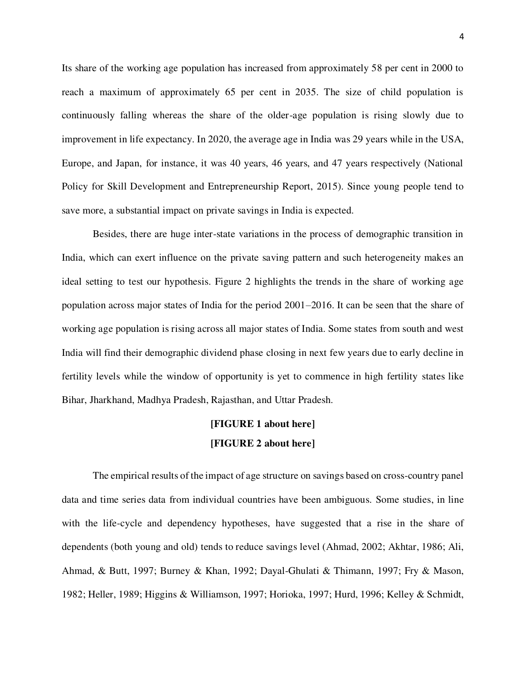Its share of the working age population has increased from approximately 58 per cent in 2000 to reach a maximum of approximately 65 per cent in 2035. The size of child population is continuously falling whereas the share of the older-age population is rising slowly due to improvement in life expectancy. In 2020, the average age in India was 29 years while in the USA, Europe, and Japan, for instance, it was 40 years, 46 years, and 47 years respectively (National Policy for Skill Development and Entrepreneurship Report, 2015). Since young people tend to save more, a substantial impact on private savings in India is expected.

Besides, there are huge inter-state variations in the process of demographic transition in India, which can exert influence on the private saving pattern and such heterogeneity makes an ideal setting to test our hypothesis. Figure 2 highlights the trends in the share of working age population across major states of India for the period 2001–2016. It can be seen that the share of working age population is rising across all major states of India. Some states from south and west India will find their demographic dividend phase closing in next few years due to early decline in fertility levels while the window of opportunity is yet to commence in high fertility states like Bihar, Jharkhand, Madhya Pradesh, Rajasthan, and Uttar Pradesh.

# **[FIGURE 1 about here] [FIGURE 2 about here]**

The empirical results of the impact of age structure on savings based on cross-country panel data and time series data from individual countries have been ambiguous. Some studies, in line with the life-cycle and dependency hypotheses, have suggested that a rise in the share of dependents (both young and old) tends to reduce savings level (Ahmad, 2002; Akhtar, 1986; Ali, Ahmad, & Butt, 1997; Burney & Khan, 1992; Dayal-Ghulati & Thimann, 1997; Fry & Mason, 1982; Heller, 1989; Higgins & Williamson, 1997; Horioka, 1997; Hurd, 1996; Kelley & Schmidt,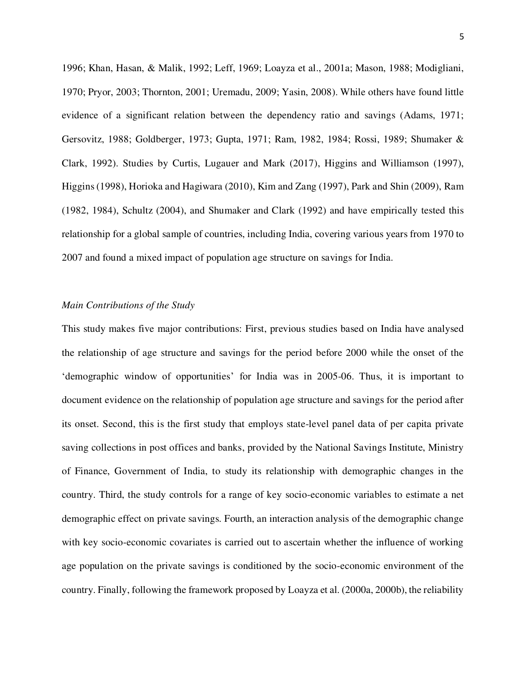1996; Khan, Hasan, & Malik, 1992; Leff, 1969; Loayza et al., 2001a; Mason, 1988; Modigliani, 1970; Pryor, 2003; Thornton, 2001; Uremadu, 2009; Yasin, 2008). While others have found little evidence of a significant relation between the dependency ratio and savings (Adams, 1971; Gersovitz, 1988; Goldberger, 1973; Gupta, 1971; Ram, 1982, 1984; Rossi, 1989; Shumaker & Clark, 1992). Studies by Curtis, Lugauer and Mark (2017), Higgins and Williamson (1997), Higgins (1998), Horioka and Hagiwara (2010), Kim and Zang (1997), Park and Shin (2009), Ram (1982, 1984), Schultz (2004), and Shumaker and Clark (1992) and have empirically tested this relationship for a global sample of countries, including India, covering various years from 1970 to 2007 and found a mixed impact of population age structure on savings for India.

#### *Main Contributions of the Study*

This study makes five major contributions: First, previous studies based on India have analysed the relationship of age structure and savings for the period before 2000 while the onset of the 'demographic window of opportunities' for India was in 2005-06. Thus, it is important to document evidence on the relationship of population age structure and savings for the period after its onset. Second, this is the first study that employs state-level panel data of per capita private saving collections in post offices and banks, provided by the National Savings Institute, Ministry of Finance, Government of India, to study its relationship with demographic changes in the country. Third, the study controls for a range of key socio-economic variables to estimate a net demographic effect on private savings. Fourth, an interaction analysis of the demographic change with key socio-economic covariates is carried out to ascertain whether the influence of working age population on the private savings is conditioned by the socio-economic environment of the country. Finally, following the framework proposed by Loayza et al. (2000a, 2000b), the reliability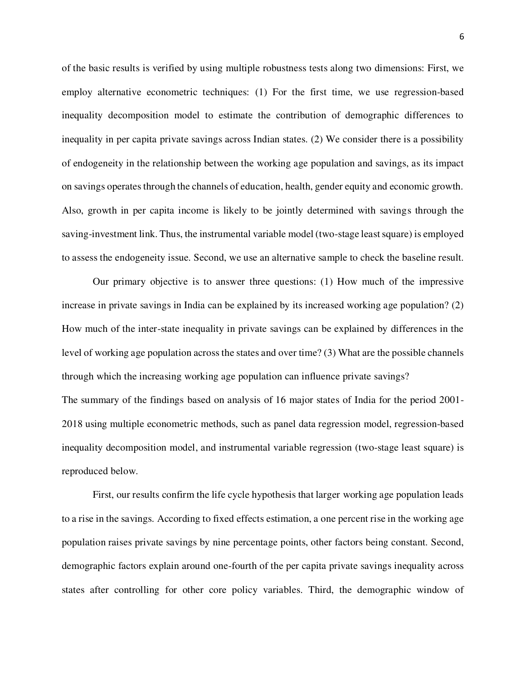of the basic results is verified by using multiple robustness tests along two dimensions: First, we employ alternative econometric techniques: (1) For the first time, we use regression-based inequality decomposition model to estimate the contribution of demographic differences to inequality in per capita private savings across Indian states. (2) We consider there is a possibility of endogeneity in the relationship between the working age population and savings, as its impact on savings operates through the channels of education, health, gender equity and economic growth. Also, growth in per capita income is likely to be jointly determined with savings through the saving-investment link. Thus, the instrumental variable model (two-stage least square) is employed to assess the endogeneity issue. Second, we use an alternative sample to check the baseline result.

Our primary objective is to answer three questions: (1) How much of the impressive increase in private savings in India can be explained by its increased working age population? (2) How much of the inter-state inequality in private savings can be explained by differences in the level of working age population across the states and over time? (3) What are the possible channels through which the increasing working age population can influence private savings? The summary of the findings based on analysis of 16 major states of India for the period 2001- 2018 using multiple econometric methods, such as panel data regression model, regression-based inequality decomposition model, and instrumental variable regression (two-stage least square) is reproduced below.

First, our results confirm the life cycle hypothesis that larger working age population leads to a rise in the savings. According to fixed effects estimation, a one percent rise in the working age population raises private savings by nine percentage points, other factors being constant. Second, demographic factors explain around one-fourth of the per capita private savings inequality across states after controlling for other core policy variables. Third, the demographic window of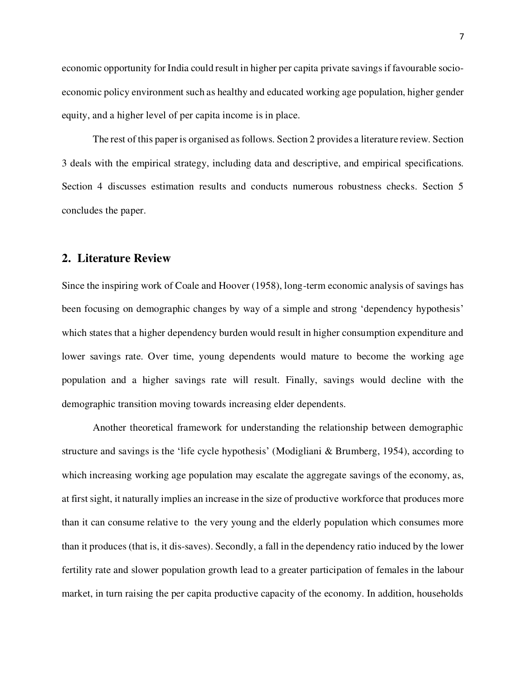economic opportunity for India could result in higher per capita private savings if favourable socioeconomic policy environment such as healthy and educated working age population, higher gender equity, and a higher level of per capita income is in place.

The rest of this paper is organised as follows. Section 2 provides a literature review. Section 3 deals with the empirical strategy, including data and descriptive, and empirical specifications. Section 4 discusses estimation results and conducts numerous robustness checks. Section 5 concludes the paper.

# **2. Literature Review**

Since the inspiring work of Coale and Hoover (1958), long-term economic analysis of savings has been focusing on demographic changes by way of a simple and strong 'dependency hypothesis' which states that a higher dependency burden would result in higher consumption expenditure and lower savings rate. Over time, young dependents would mature to become the working age population and a higher savings rate will result. Finally, savings would decline with the demographic transition moving towards increasing elder dependents.

Another theoretical framework for understanding the relationship between demographic structure and savings is the 'life cycle hypothesis' (Modigliani & Brumberg, 1954), according to which increasing working age population may escalate the aggregate savings of the economy, as, at first sight, it naturally implies an increase in the size of productive workforce that produces more than it can consume relative to the very young and the elderly population which consumes more than it produces (that is, it dis-saves). Secondly, a fall in the dependency ratio induced by the lower fertility rate and slower population growth lead to a greater participation of females in the labour market, in turn raising the per capita productive capacity of the economy. In addition, households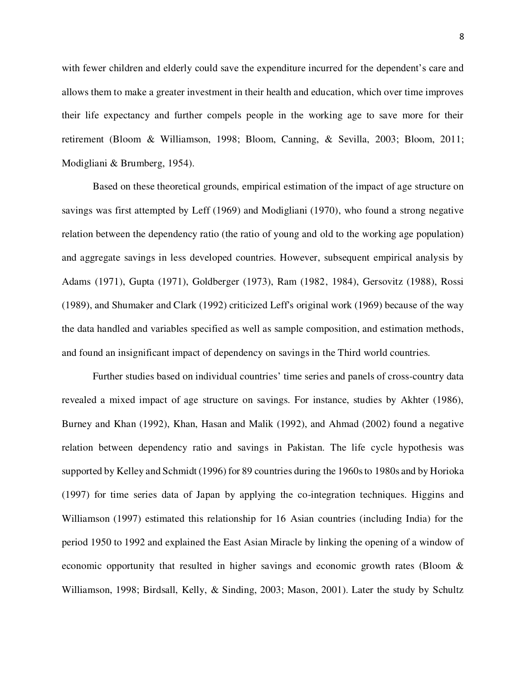with fewer children and elderly could save the expenditure incurred for the dependent's care and allows them to make a greater investment in their health and education, which over time improves their life expectancy and further compels people in the working age to save more for their retirement (Bloom & Williamson, 1998; Bloom, Canning, & Sevilla, 2003; Bloom, 2011; Modigliani & Brumberg, 1954).

Based on these theoretical grounds, empirical estimation of the impact of age structure on savings was first attempted by Leff (1969) and Modigliani (1970), who found a strong negative relation between the dependency ratio (the ratio of young and old to the working age population) and aggregate savings in less developed countries. However, subsequent empirical analysis by Adams (1971), Gupta (1971), Goldberger (1973), Ram (1982, 1984), Gersovitz (1988), Rossi (1989), and Shumaker and Clark (1992) criticized Leff's original work (1969) because of the way the data handled and variables specified as well as sample composition, and estimation methods, and found an insignificant impact of dependency on savings in the Third world countries.

Further studies based on individual countries' time series and panels of cross-country data revealed a mixed impact of age structure on savings. For instance, studies by Akhter (1986), Burney and Khan (1992), Khan, Hasan and Malik (1992), and Ahmad (2002) found a negative relation between dependency ratio and savings in Pakistan. The life cycle hypothesis was supported by Kelley and Schmidt (1996) for 89 countries during the 1960s to 1980s and by Horioka (1997) for time series data of Japan by applying the co-integration techniques. Higgins and Williamson (1997) estimated this relationship for 16 Asian countries (including India) for the period 1950 to 1992 and explained the East Asian Miracle by linking the opening of a window of economic opportunity that resulted in higher savings and economic growth rates (Bloom & Williamson, 1998; Birdsall, Kelly, & Sinding, 2003; Mason, 2001). Later the study by Schultz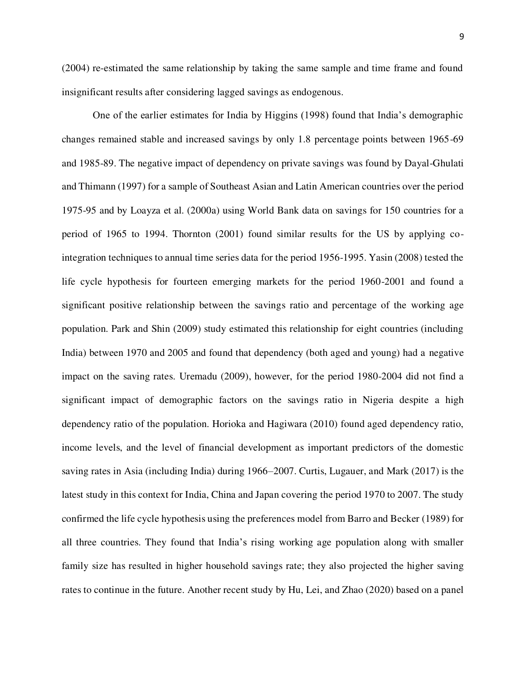(2004) re-estimated the same relationship by taking the same sample and time frame and found insignificant results after considering lagged savings as endogenous.

One of the earlier estimates for India by Higgins (1998) found that India's demographic changes remained stable and increased savings by only 1.8 percentage points between 1965-69 and 1985-89. The negative impact of dependency on private savings was found by Dayal-Ghulati and Thimann (1997) for a sample of Southeast Asian and Latin American countries over the period 1975-95 and by Loayza et al. (2000a) using World Bank data on savings for 150 countries for a period of 1965 to 1994. Thornton (2001) found similar results for the US by applying cointegration techniques to annual time series data for the period 1956-1995. Yasin (2008) tested the life cycle hypothesis for fourteen emerging markets for the period 1960-2001 and found a significant positive relationship between the savings ratio and percentage of the working age population. Park and Shin (2009) study estimated this relationship for eight countries (including India) between 1970 and 2005 and found that dependency (both aged and young) had a negative impact on the saving rates. Uremadu (2009), however, for the period 1980-2004 did not find a significant impact of demographic factors on the savings ratio in Nigeria despite a high dependency ratio of the population. Horioka and Hagiwara (2010) found aged dependency ratio, income levels, and the level of financial development as important predictors of the domestic saving rates in Asia (including India) during 1966–2007. Curtis, Lugauer, and Mark (2017) is the latest study in this context for India, China and Japan covering the period 1970 to 2007. The study confirmed the life cycle hypothesis using the preferences model from Barro and Becker (1989) for all three countries. They found that India's rising working age population along with smaller family size has resulted in higher household savings rate; they also projected the higher saving rates to continue in the future. Another recent study by Hu, Lei, and Zhao (2020) based on a panel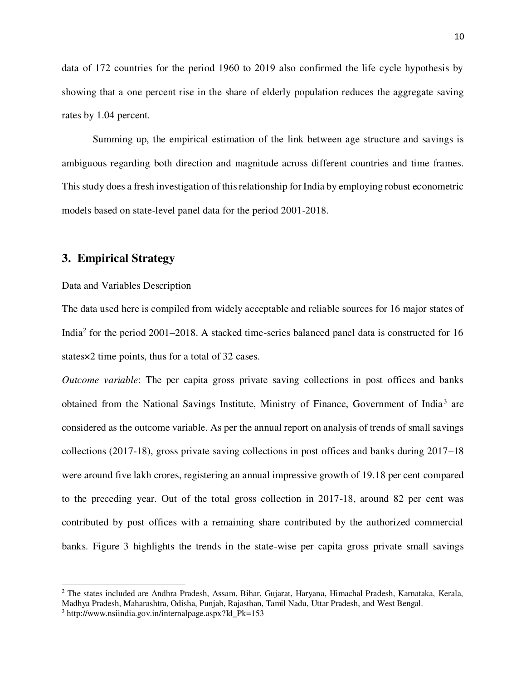data of 172 countries for the period 1960 to 2019 also confirmed the life cycle hypothesis by showing that a one percent rise in the share of elderly population reduces the aggregate saving rates by 1.04 percent.

Summing up, the empirical estimation of the link between age structure and savings is ambiguous regarding both direction and magnitude across different countries and time frames. This study does a fresh investigation of this relationship for India by employing robust econometric models based on state-level panel data for the period 2001-2018.

# **3. Empirical Strategy**

#### Data and Variables Description

The data used here is compiled from widely acceptable and reliable sources for 16 major states of India<sup>2</sup> for the period 2001–2018. A stacked time-series balanced panel data is constructed for 16 states×2 time points, thus for a total of 32 cases.

*Outcome variable*: The per capita gross private saving collections in post offices and banks obtained from the National Savings Institute, Ministry of Finance, Government of India<sup>3</sup> are considered as the outcome variable. As per the annual report on analysis of trends of small savings collections (2017-18), gross private saving collections in post offices and banks during 2017–18 were around five lakh crores, registering an annual impressive growth of 19.18 per cent compared to the preceding year. Out of the total gross collection in 2017-18, around 82 per cent was contributed by post offices with a remaining share contributed by the authorized commercial banks. Figure 3 highlights the trends in the state-wise per capita gross private small savings

 $\overline{a}$ 

<sup>&</sup>lt;sup>2</sup> The states included are Andhra Pradesh, Assam, Bihar, Gujarat, Haryana, Himachal Pradesh, Karnataka, Kerala, Madhya Pradesh, Maharashtra, Odisha, Punjab, Rajasthan, Tamil Nadu, Uttar Pradesh, and West Bengal.

<sup>3</sup> http://www.nsiindia.gov.in/internalpage.aspx?Id\_Pk=153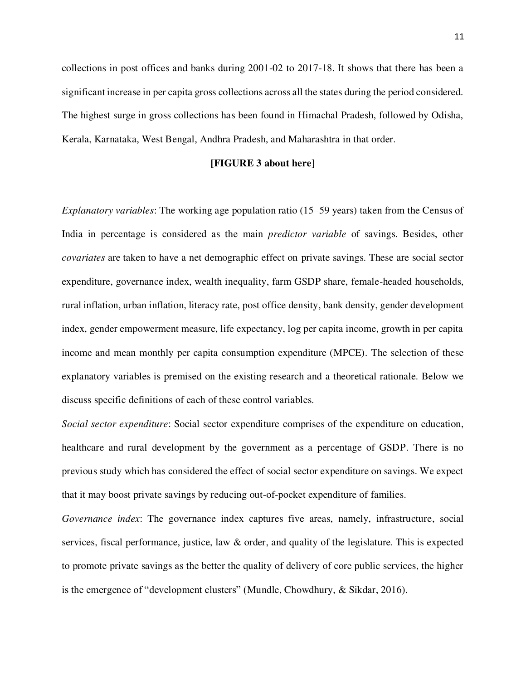collections in post offices and banks during 2001-02 to 2017-18. It shows that there has been a significant increase in per capita gross collections across all the states during the period considered. The highest surge in gross collections has been found in Himachal Pradesh, followed by Odisha, Kerala, Karnataka, West Bengal, Andhra Pradesh, and Maharashtra in that order.

#### **[FIGURE 3 about here]**

*Explanatory variables*: The working age population ratio (15–59 years) taken from the Census of India in percentage is considered as the main *predictor variable* of savings. Besides, other *covariates* are taken to have a net demographic effect on private savings. These are social sector expenditure, governance index, wealth inequality, farm GSDP share, female-headed households, rural inflation, urban inflation, literacy rate, post office density, bank density, gender development index, gender empowerment measure, life expectancy, log per capita income, growth in per capita income and mean monthly per capita consumption expenditure (MPCE). The selection of these explanatory variables is premised on the existing research and a theoretical rationale. Below we discuss specific definitions of each of these control variables.

*Social sector expenditure*: Social sector expenditure comprises of the expenditure on education, healthcare and rural development by the government as a percentage of GSDP. There is no previous study which has considered the effect of social sector expenditure on savings. We expect that it may boost private savings by reducing out-of-pocket expenditure of families.

*Governance index*: The governance index captures five areas, namely, infrastructure, social services, fiscal performance, justice, law & order, and quality of the legislature. This is expected to promote private savings as the better the quality of delivery of core public services, the higher is the emergence of "development clusters" (Mundle, Chowdhury, & Sikdar, 2016).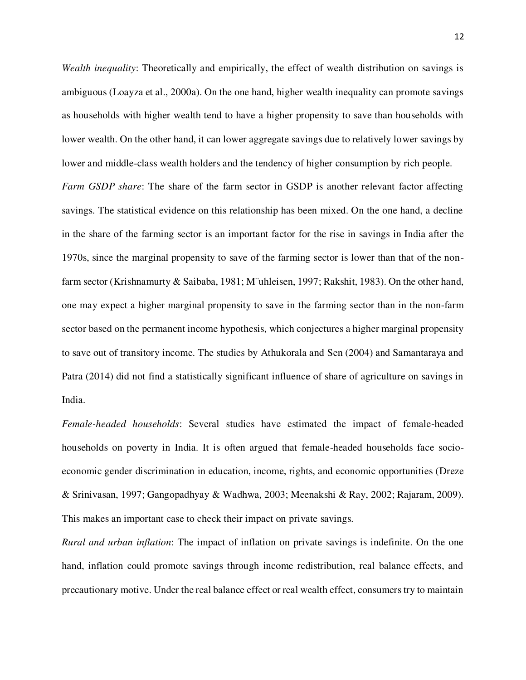*Wealth inequality*: Theoretically and empirically, the effect of wealth distribution on savings is ambiguous (Loayza et al., 2000a). On the one hand, higher wealth inequality can promote savings as households with higher wealth tend to have a higher propensity to save than households with lower wealth. On the other hand, it can lower aggregate savings due to relatively lower savings by lower and middle-class wealth holders and the tendency of higher consumption by rich people.

*Farm GSDP share*: The share of the farm sector in GSDP is another relevant factor affecting savings. The statistical evidence on this relationship has been mixed. On the one hand, a decline in the share of the farming sector is an important factor for the rise in savings in India after the 1970s, since the marginal propensity to save of the farming sector is lower than that of the nonfarm sector (Krishnamurty & Saibaba, 1981; M¨uhleisen, 1997; Rakshit, 1983). On the other hand, one may expect a higher marginal propensity to save in the farming sector than in the non-farm sector based on the permanent income hypothesis, which conjectures a higher marginal propensity to save out of transitory income. The studies by Athukorala and Sen (2004) and Samantaraya and Patra (2014) did not find a statistically significant influence of share of agriculture on savings in India.

*Female-headed households*: Several studies have estimated the impact of female-headed households on poverty in India. It is often argued that female-headed households face socioeconomic gender discrimination in education, income, rights, and economic opportunities (Dreze & Srinivasan, 1997; Gangopadhyay & Wadhwa, 2003; Meenakshi & Ray, 2002; Rajaram, 2009). This makes an important case to check their impact on private savings.

*Rural and urban inflation*: The impact of inflation on private savings is indefinite. On the one hand, inflation could promote savings through income redistribution, real balance effects, and precautionary motive. Under the real balance effect or real wealth effect, consumers try to maintain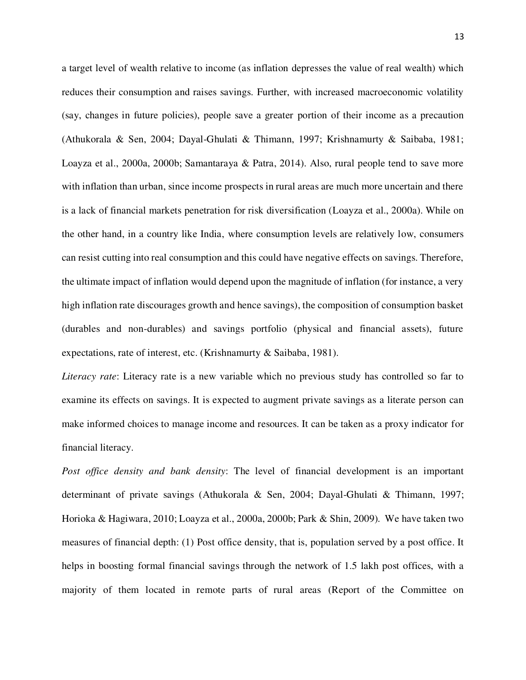a target level of wealth relative to income (as inflation depresses the value of real wealth) which reduces their consumption and raises savings. Further, with increased macroeconomic volatility (say, changes in future policies), people save a greater portion of their income as a precaution (Athukorala & Sen, 2004; Dayal-Ghulati & Thimann, 1997; Krishnamurty & Saibaba, 1981; Loayza et al., 2000a, 2000b; Samantaraya & Patra, 2014). Also, rural people tend to save more with inflation than urban, since income prospects in rural areas are much more uncertain and there is a lack of financial markets penetration for risk diversification (Loayza et al., 2000a). While on the other hand, in a country like India, where consumption levels are relatively low, consumers can resist cutting into real consumption and this could have negative effects on savings. Therefore, the ultimate impact of inflation would depend upon the magnitude of inflation (for instance, a very high inflation rate discourages growth and hence savings), the composition of consumption basket (durables and non-durables) and savings portfolio (physical and financial assets), future expectations, rate of interest, etc. (Krishnamurty & Saibaba, 1981).

*Literacy rate*: Literacy rate is a new variable which no previous study has controlled so far to examine its effects on savings. It is expected to augment private savings as a literate person can make informed choices to manage income and resources. It can be taken as a proxy indicator for financial literacy.

*Post office density and bank density*: The level of financial development is an important determinant of private savings (Athukorala & Sen, 2004; Dayal-Ghulati & Thimann, 1997; Horioka & Hagiwara, 2010; Loayza et al., 2000a, 2000b; Park & Shin, 2009). We have taken two measures of financial depth: (1) Post office density, that is, population served by a post office. It helps in boosting formal financial savings through the network of 1.5 lakh post offices, with a majority of them located in remote parts of rural areas (Report of the Committee on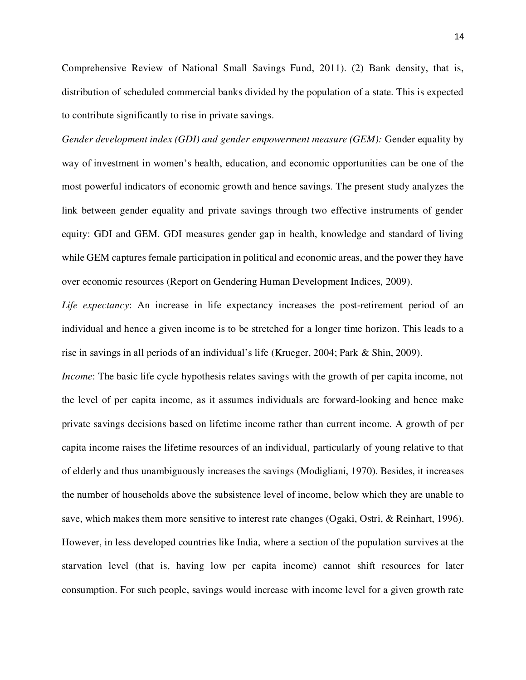Comprehensive Review of National Small Savings Fund, 2011). (2) Bank density, that is, distribution of scheduled commercial banks divided by the population of a state. This is expected to contribute significantly to rise in private savings.

*Gender development index (GDI) and gender empowerment measure (GEM):* Gender equality by way of investment in women's health, education, and economic opportunities can be one of the most powerful indicators of economic growth and hence savings. The present study analyzes the link between gender equality and private savings through two effective instruments of gender equity: GDI and GEM. GDI measures gender gap in health, knowledge and standard of living while GEM captures female participation in political and economic areas, and the power they have over economic resources (Report on Gendering Human Development Indices, 2009).

*Life expectancy*: An increase in life expectancy increases the post-retirement period of an individual and hence a given income is to be stretched for a longer time horizon. This leads to a rise in savings in all periods of an individual's life (Krueger, 2004; Park & Shin, 2009).

*Income*: The basic life cycle hypothesis relates savings with the growth of per capita income, not the level of per capita income, as it assumes individuals are forward-looking and hence make private savings decisions based on lifetime income rather than current income. A growth of per capita income raises the lifetime resources of an individual, particularly of young relative to that of elderly and thus unambiguously increases the savings (Modigliani, 1970). Besides, it increases the number of households above the subsistence level of income, below which they are unable to save, which makes them more sensitive to interest rate changes (Ogaki, Ostri, & Reinhart, 1996). However, in less developed countries like India, where a section of the population survives at the starvation level (that is, having low per capita income) cannot shift resources for later consumption. For such people, savings would increase with income level for a given growth rate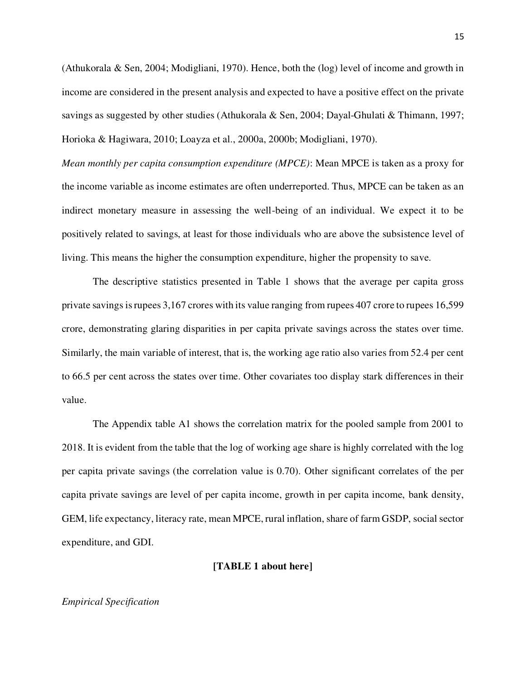(Athukorala & Sen, 2004; Modigliani, 1970). Hence, both the (log) level of income and growth in income are considered in the present analysis and expected to have a positive effect on the private savings as suggested by other studies (Athukorala & Sen, 2004; Dayal-Ghulati & Thimann, 1997; Horioka & Hagiwara, 2010; Loayza et al., 2000a, 2000b; Modigliani, 1970).

*Mean monthly per capita consumption expenditure (MPCE)*: Mean MPCE is taken as a proxy for the income variable as income estimates are often underreported. Thus, MPCE can be taken as an indirect monetary measure in assessing the well-being of an individual. We expect it to be positively related to savings, at least for those individuals who are above the subsistence level of living. This means the higher the consumption expenditure, higher the propensity to save.

The descriptive statistics presented in Table 1 shows that the average per capita gross private savings is rupees 3,167 crores with its value ranging from rupees 407 crore to rupees 16,599 crore, demonstrating glaring disparities in per capita private savings across the states over time. Similarly, the main variable of interest, that is, the working age ratio also varies from 52.4 per cent to 66.5 per cent across the states over time. Other covariates too display stark differences in their value.

The Appendix table A1 shows the correlation matrix for the pooled sample from 2001 to 2018. It is evident from the table that the log of working age share is highly correlated with the log per capita private savings (the correlation value is 0.70). Other significant correlates of the per capita private savings are level of per capita income, growth in per capita income, bank density, GEM, life expectancy, literacy rate, mean MPCE, rural inflation, share of farm GSDP, social sector expenditure, and GDI.

### **[TABLE 1 about here]**

#### *Empirical Specification*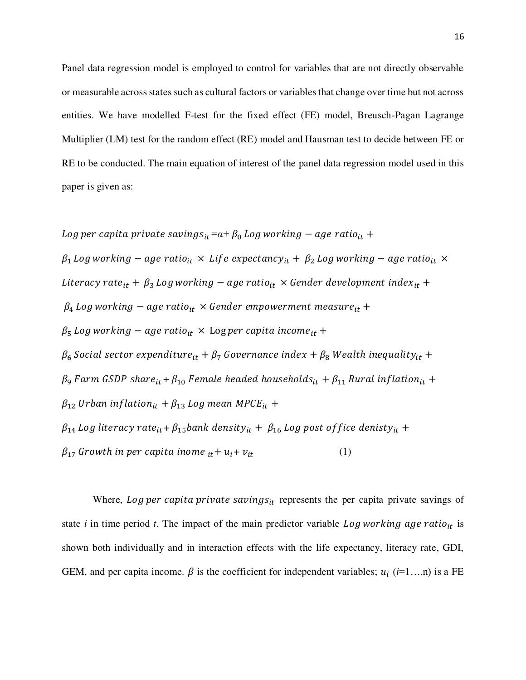Panel data regression model is employed to control for variables that are not directly observable or measurable across states such as cultural factors or variables that change over time but not across entities. We have modelled F-test for the fixed effect (FE) model, Breusch-Pagan Lagrange Multiplier (LM) test for the random effect (RE) model and Hausman test to decide between FE or RE to be conducted. The main equation of interest of the panel data regression model used in this paper is given as:

*Log per capita private savings*<sub>it</sub> $=a+\beta_0$  *Log working*  $-a$ *ge ratio*<sub>it</sub>  $+$  $\beta_1$  Log working – age ratio<sub>it</sub>  $\times$  Life expectancy<sub>it</sub> +  $\beta_2$  Log working – age ratio<sub>it</sub>  $\times$ Literacy rate<sub>it</sub> +  $\beta_3$  Log working – age ratio<sub>it</sub> × Gender development index<sub>it</sub> +  $\beta_4$  Log working – age ratio<sub>it</sub>  $\times$  Gender empowerment measure<sub>it</sub> +  $\beta_5$  Log working – age ratio<sub>it</sub>  $\times$  Log per capita income<sub>it</sub> +  $\beta_6$  Social sector expenditure $_{it}$  +  $\beta_7$  Governance index +  $\beta_8$  Wealth inequality $_{it}$  +  $\beta$ <sub>9</sub> Farm GSDP share<sub>it</sub> +  $\beta_{10}$  Female headed households<sub>it</sub> +  $\beta_{11}$  Rural inflation<sub>it</sub> +  $\beta_{12}$  Urban inflation<sub>it</sub> +  $\beta_{13}$  Log mean MPCE<sub>it</sub> +  $\beta_{14}$  Log literacy rate<sub>it</sub> +  $\beta_{15}$ bank density<sub>it</sub> +  $\beta_{16}$  Log post of fice denisty<sub>it</sub> +  $\beta_{17}$  Growth in per capita inome  $_{it}$  +  $u_i$  +  $v_{it}$  (1)

Where, Log per capita private savings<sub>it</sub> represents the per capita private savings of state  $i$  in time period  $t$ . The impact of the main predictor variable  $Log working age ratio_{it}$  is shown both individually and in interaction effects with the life expectancy, literacy rate, GDI, GEM, and per capita income.  $\beta$  is the coefficient for independent variables;  $u_i$  ( $i=1,...n$ ) is a FE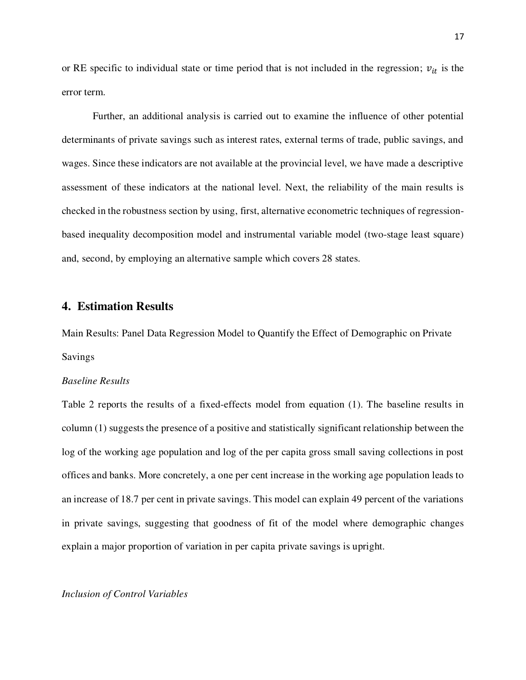or RE specific to individual state or time period that is not included in the regression;  $v_{it}$  is the error term.

Further, an additional analysis is carried out to examine the influence of other potential determinants of private savings such as interest rates, external terms of trade, public savings, and wages. Since these indicators are not available at the provincial level, we have made a descriptive assessment of these indicators at the national level. Next, the reliability of the main results is checked in the robustness section by using, first, alternative econometric techniques of regressionbased inequality decomposition model and instrumental variable model (two-stage least square) and, second, by employing an alternative sample which covers 28 states.

### **4. Estimation Results**

Main Results: Panel Data Regression Model to Quantify the Effect of Demographic on Private Savings

#### *Baseline Results*

Table 2 reports the results of a fixed-effects model from equation (1). The baseline results in column (1) suggests the presence of a positive and statistically significant relationship between the log of the working age population and log of the per capita gross small saving collections in post offices and banks. More concretely, a one per cent increase in the working age population leads to an increase of 18.7 per cent in private savings. This model can explain 49 percent of the variations in private savings, suggesting that goodness of fit of the model where demographic changes explain a major proportion of variation in per capita private savings is upright.

#### *Inclusion of Control Variables*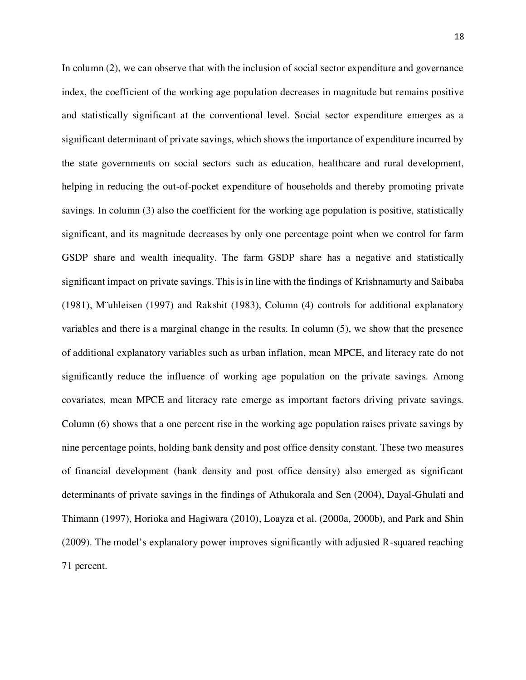In column (2), we can observe that with the inclusion of social sector expenditure and governance index, the coefficient of the working age population decreases in magnitude but remains positive and statistically significant at the conventional level. Social sector expenditure emerges as a significant determinant of private savings, which shows the importance of expenditure incurred by the state governments on social sectors such as education, healthcare and rural development, helping in reducing the out-of-pocket expenditure of households and thereby promoting private savings. In column (3) also the coefficient for the working age population is positive, statistically significant, and its magnitude decreases by only one percentage point when we control for farm GSDP share and wealth inequality. The farm GSDP share has a negative and statistically significant impact on private savings. This is in line with the findings of Krishnamurty and Saibaba (1981), M¨uhleisen (1997) and Rakshit (1983), Column (4) controls for additional explanatory variables and there is a marginal change in the results. In column (5), we show that the presence of additional explanatory variables such as urban inflation, mean MPCE, and literacy rate do not significantly reduce the influence of working age population on the private savings. Among covariates, mean MPCE and literacy rate emerge as important factors driving private savings. Column (6) shows that a one percent rise in the working age population raises private savings by nine percentage points, holding bank density and post office density constant. These two measures of financial development (bank density and post office density) also emerged as significant determinants of private savings in the findings of Athukorala and Sen (2004), Dayal-Ghulati and Thimann (1997), Horioka and Hagiwara (2010), Loayza et al. (2000a, 2000b), and Park and Shin (2009). The model's explanatory power improves significantly with adjusted R-squared reaching 71 percent.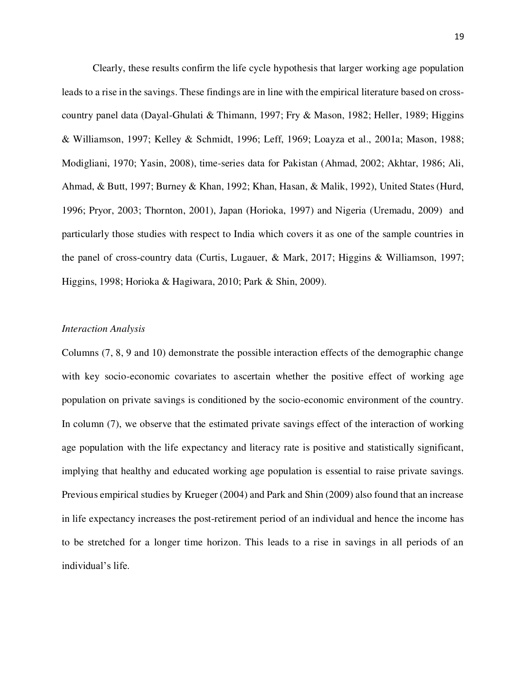Clearly, these results confirm the life cycle hypothesis that larger working age population leads to a rise in the savings. These findings are in line with the empirical literature based on crosscountry panel data (Dayal-Ghulati & Thimann, 1997; Fry & Mason, 1982; Heller, 1989; Higgins & Williamson, 1997; Kelley & Schmidt, 1996; Leff, 1969; Loayza et al., 2001a; Mason, 1988; Modigliani, 1970; Yasin, 2008), time-series data for Pakistan (Ahmad, 2002; Akhtar, 1986; Ali, Ahmad, & Butt, 1997; Burney & Khan, 1992; Khan, Hasan, & Malik, 1992), United States (Hurd, 1996; Pryor, 2003; Thornton, 2001), Japan (Horioka, 1997) and Nigeria (Uremadu, 2009) and particularly those studies with respect to India which covers it as one of the sample countries in the panel of cross-country data (Curtis, Lugauer, & Mark, 2017; Higgins & Williamson, 1997; Higgins, 1998; Horioka & Hagiwara, 2010; Park & Shin, 2009).

#### *Interaction Analysis*

Columns (7, 8, 9 and 10) demonstrate the possible interaction effects of the demographic change with key socio-economic covariates to ascertain whether the positive effect of working age population on private savings is conditioned by the socio-economic environment of the country. In column (7), we observe that the estimated private savings effect of the interaction of working age population with the life expectancy and literacy rate is positive and statistically significant, implying that healthy and educated working age population is essential to raise private savings. Previous empirical studies by Krueger (2004) and Park and Shin (2009) also found that an increase in life expectancy increases the post-retirement period of an individual and hence the income has to be stretched for a longer time horizon. This leads to a rise in savings in all periods of an individual's life.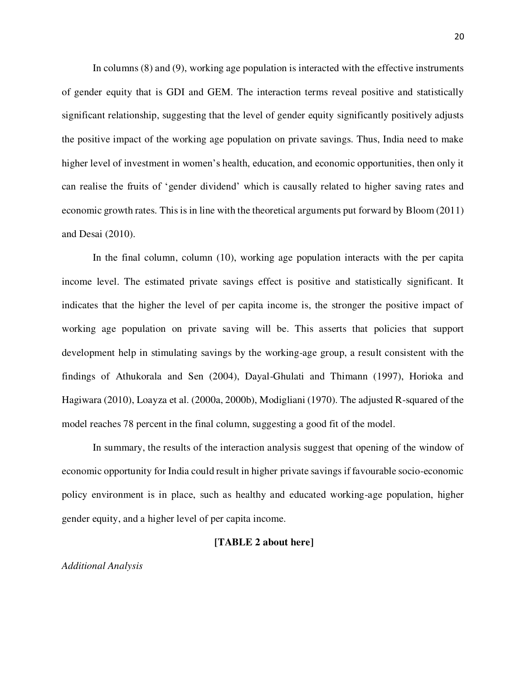In columns (8) and (9), working age population is interacted with the effective instruments of gender equity that is GDI and GEM. The interaction terms reveal positive and statistically significant relationship, suggesting that the level of gender equity significantly positively adjusts the positive impact of the working age population on private savings. Thus, India need to make higher level of investment in women's health, education, and economic opportunities, then only it can realise the fruits of 'gender dividend' which is causally related to higher saving rates and economic growth rates. This is in line with the theoretical arguments put forward by Bloom (2011) and Desai (2010).

In the final column, column (10), working age population interacts with the per capita income level. The estimated private savings effect is positive and statistically significant. It indicates that the higher the level of per capita income is, the stronger the positive impact of working age population on private saving will be. This asserts that policies that support development help in stimulating savings by the working-age group, a result consistent with the findings of Athukorala and Sen (2004), Dayal-Ghulati and Thimann (1997), Horioka and Hagiwara (2010), Loayza et al. (2000a, 2000b), Modigliani (1970). The adjusted R-squared of the model reaches 78 percent in the final column, suggesting a good fit of the model.

In summary, the results of the interaction analysis suggest that opening of the window of economic opportunity for India could result in higher private savings if favourable socio-economic policy environment is in place, such as healthy and educated working-age population, higher gender equity, and a higher level of per capita income.

### **[TABLE 2 about here]**

*Additional Analysis*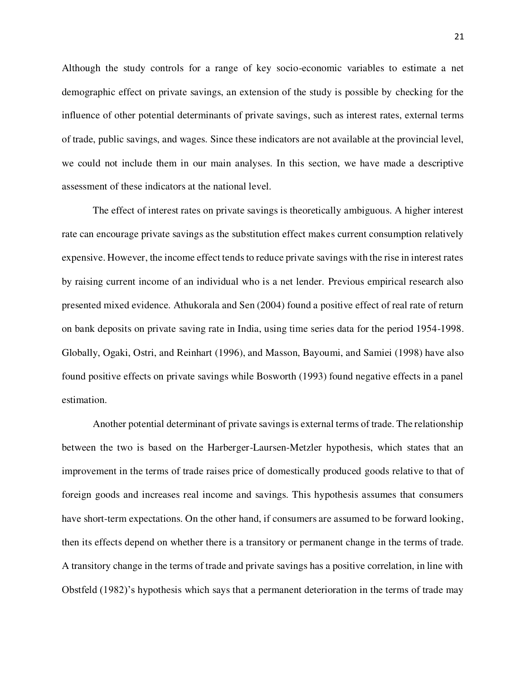Although the study controls for a range of key socio-economic variables to estimate a net demographic effect on private savings, an extension of the study is possible by checking for the influence of other potential determinants of private savings, such as interest rates, external terms of trade, public savings, and wages. Since these indicators are not available at the provincial level, we could not include them in our main analyses. In this section, we have made a descriptive assessment of these indicators at the national level.

The effect of interest rates on private savings is theoretically ambiguous. A higher interest rate can encourage private savings as the substitution effect makes current consumption relatively expensive. However, the income effect tends to reduce private savings with the rise in interest rates by raising current income of an individual who is a net lender. Previous empirical research also presented mixed evidence. Athukorala and Sen (2004) found a positive effect of real rate of return on bank deposits on private saving rate in India, using time series data for the period 1954-1998. Globally, Ogaki, Ostri, and Reinhart (1996), and Masson, Bayoumi, and Samiei (1998) have also found positive effects on private savings while Bosworth (1993) found negative effects in a panel estimation.

Another potential determinant of private savings is external terms of trade. The relationship between the two is based on the Harberger-Laursen-Metzler hypothesis, which states that an improvement in the terms of trade raises price of domestically produced goods relative to that of foreign goods and increases real income and savings. This hypothesis assumes that consumers have short-term expectations. On the other hand, if consumers are assumed to be forward looking, then its effects depend on whether there is a transitory or permanent change in the terms of trade. A transitory change in the terms of trade and private savings has a positive correlation, in line with Obstfeld (1982)'s hypothesis which says that a permanent deterioration in the terms of trade may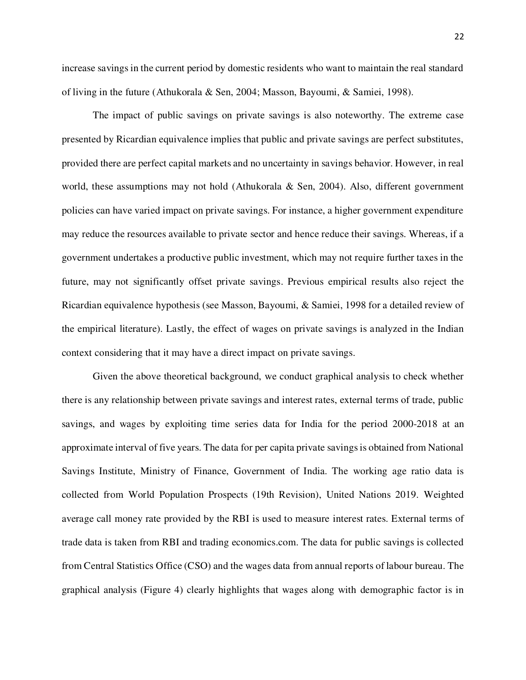increase savings in the current period by domestic residents who want to maintain the real standard of living in the future (Athukorala & Sen, 2004; Masson, Bayoumi, & Samiei, 1998).

The impact of public savings on private savings is also noteworthy. The extreme case presented by Ricardian equivalence implies that public and private savings are perfect substitutes, provided there are perfect capital markets and no uncertainty in savings behavior. However, in real world, these assumptions may not hold (Athukorala & Sen, 2004). Also, different government policies can have varied impact on private savings. For instance, a higher government expenditure may reduce the resources available to private sector and hence reduce their savings. Whereas, if a government undertakes a productive public investment, which may not require further taxes in the future, may not significantly offset private savings. Previous empirical results also reject the Ricardian equivalence hypothesis (see Masson, Bayoumi, & Samiei, 1998 for a detailed review of the empirical literature). Lastly, the effect of wages on private savings is analyzed in the Indian context considering that it may have a direct impact on private savings.

Given the above theoretical background, we conduct graphical analysis to check whether there is any relationship between private savings and interest rates, external terms of trade, public savings, and wages by exploiting time series data for India for the period 2000-2018 at an approximate interval of five years. The data for per capita private savings is obtained from National Savings Institute, Ministry of Finance, Government of India. The working age ratio data is collected from World Population Prospects (19th Revision), United Nations 2019. Weighted average call money rate provided by the RBI is used to measure interest rates. External terms of trade data is taken from RBI and trading economics.com. The data for public savings is collected from Central Statistics Office (CSO) and the wages data from annual reports of labour bureau. The graphical analysis (Figure 4) clearly highlights that wages along with demographic factor is in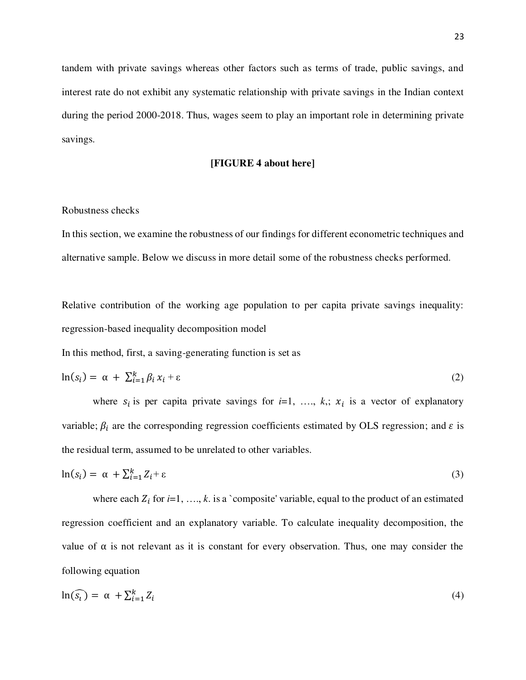tandem with private savings whereas other factors such as terms of trade, public savings, and interest rate do not exhibit any systematic relationship with private savings in the Indian context during the period 2000-2018. Thus, wages seem to play an important role in determining private savings.

#### **[FIGURE 4 about here]**

#### Robustness checks

In this section, we examine the robustness of our findings for different econometric techniques and alternative sample. Below we discuss in more detail some of the robustness checks performed.

Relative contribution of the working age population to per capita private savings inequality: regression-based inequality decomposition model

In this method, first, a saving-generating function is set as

$$
\ln(s_i) = \alpha + \sum_{i=1}^{k} \beta_i x_i + \varepsilon \tag{2}
$$

where  $s_i$  is per capita private savings for  $i=1, \ldots, k$ ;  $x_i$  is a vector of explanatory variable;  $\beta_i$  are the corresponding regression coefficients estimated by OLS regression; and  $\varepsilon$  is the residual term, assumed to be unrelated to other variables.

$$
\ln(s_i) = \alpha + \sum_{i=1}^{k} Z_i + \varepsilon \tag{3}
$$

where each  $Z_i$  for  $i=1, \ldots, k$ . is a `composite' variable, equal to the product of an estimated regression coefficient and an explanatory variable. To calculate inequality decomposition, the value of  $\alpha$  is not relevant as it is constant for every observation. Thus, one may consider the following equation

$$
\ln(\widehat{s_i}) = \alpha + \sum_{i=1}^{k} Z_i \tag{4}
$$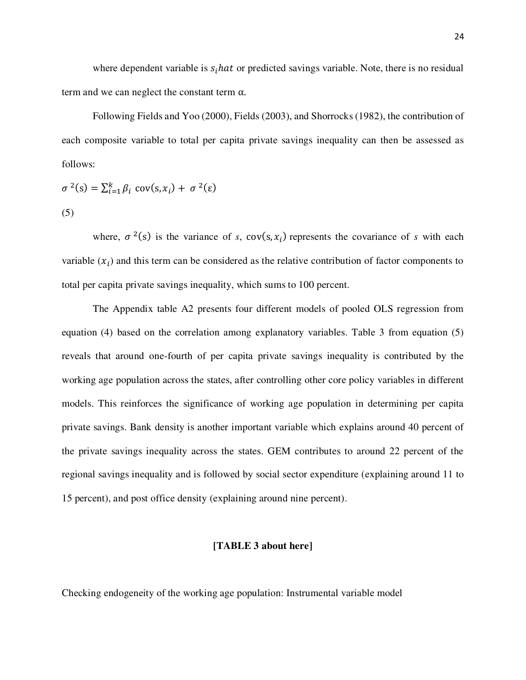where dependent variable is  $s_i$  hat or predicted savings variable. Note, there is no residual term and we can neglect the constant term α.

Following Fields and Yoo (2000), Fields (2003), and Shorrocks (1982), the contribution of each composite variable to total per capita private savings inequality can then be assessed as follows:

$$
\sigma^{2}(s) = \sum_{i=1}^{k} \beta_{i} \text{ cov}(s, x_{i}) + \sigma^{2}(\varepsilon)
$$
\n(5)

where,  $\sigma^2(s)$  is the variance of *s*,  $cov(s, x_i)$  represents the covariance of *s* with each variable  $(x_i)$  and this term can be considered as the relative contribution of factor components to total per capita private savings inequality, which sums to 100 percent.

The Appendix table A2 presents four different models of pooled OLS regression from equation (4) based on the correlation among explanatory variables. Table 3 from equation (5) reveals that around one-fourth of per capita private savings inequality is contributed by the working age population across the states, after controlling other core policy variables in different models. This reinforces the significance of working age population in determining per capita private savings. Bank density is another important variable which explains around 40 percent of the private savings inequality across the states. GEM contributes to around 22 percent of the regional savings inequality and is followed by social sector expenditure (explaining around 11 to 15 percent), and post office density (explaining around nine percent).

# **[TABLE 3 about here]**

Checking endogeneity of the working age population: Instrumental variable model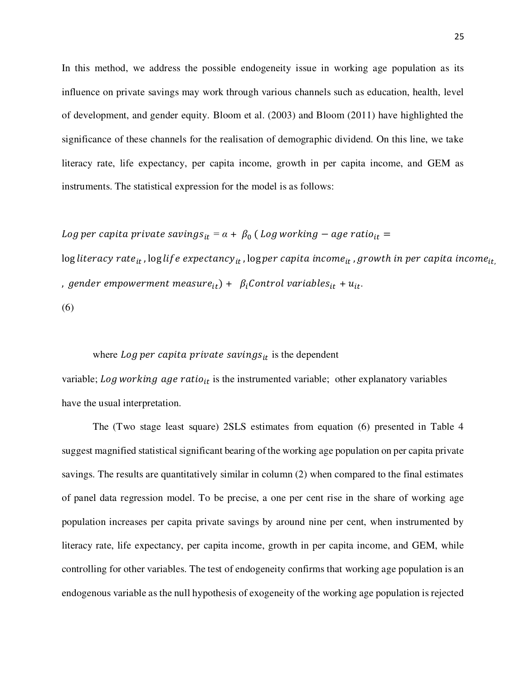In this method, we address the possible endogeneity issue in working age population as its influence on private savings may work through various channels such as education, health, level of development, and gender equity. Bloom et al. (2003) and Bloom (2011) have highlighted the significance of these channels for the realisation of demographic dividend. On this line, we take literacy rate, life expectancy, per capita income, growth in per capita income, and GEM as instruments. The statistical expression for the model is as follows:

Log per capita private saving $s_{it}$  =  $\alpha$  +  $\beta_0$  ( Log working  $-$  age ratio<sub>it</sub> =

 $\log$  literacy rate<sub>it</sub>,  $\log$  life expectancy<sub>it</sub>,  $\log$  per capita income<sub>it</sub>, growth in per capita income<sub>it.</sub> , gender empowerment measure<sub>it</sub>) +  $\beta_i$ Control variables<sub>it</sub> +  $u_{it}$ . (6)

#### where Log per capita private savings $_{it}$  is the dependent

variable; Log working age ratio<sub>it</sub> is the instrumented variable; other explanatory variables have the usual interpretation.

The (Two stage least square) 2SLS estimates from equation (6) presented in Table 4 suggest magnified statistical significant bearing of the working age population on per capita private savings. The results are quantitatively similar in column (2) when compared to the final estimates of panel data regression model. To be precise, a one per cent rise in the share of working age population increases per capita private savings by around nine per cent, when instrumented by literacy rate, life expectancy, per capita income, growth in per capita income, and GEM, while controlling for other variables. The test of endogeneity confirms that working age population is an endogenous variable as the null hypothesis of exogeneity of the working age population is rejected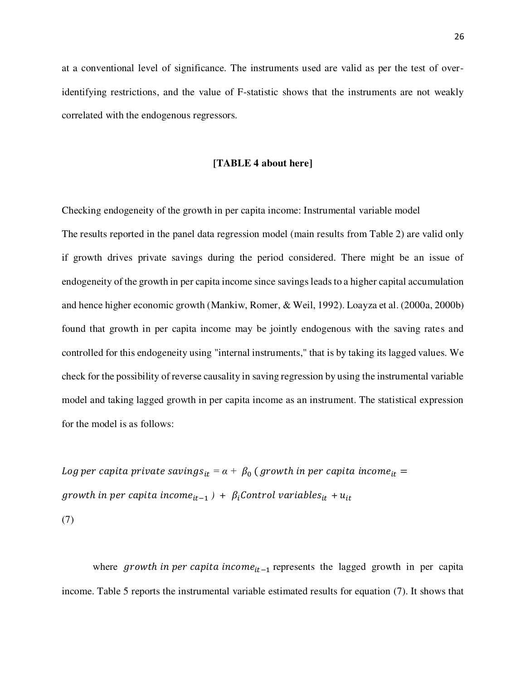at a conventional level of significance. The instruments used are valid as per the test of overidentifying restrictions, and the value of F-statistic shows that the instruments are not weakly correlated with the endogenous regressors.

#### **[TABLE 4 about here]**

Checking endogeneity of the growth in per capita income: Instrumental variable model The results reported in the panel data regression model (main results from Table 2) are valid only if growth drives private savings during the period considered. There might be an issue of endogeneity of the growth in per capita income since savings leads to a higher capital accumulation and hence higher economic growth (Mankiw, Romer, & Weil, 1992). Loayza et al. (2000a, 2000b) found that growth in per capita income may be jointly endogenous with the saving rates and controlled for this endogeneity using "internal instruments," that is by taking its lagged values. We check for the possibility of reverse causality in saving regression by using the instrumental variable model and taking lagged growth in per capita income as an instrument. The statistical expression for the model is as follows:

Log per capita private saving $s_{it}$  =  $\alpha$  +  $\,\beta_{0}$  ( growth in per capita income<sub>it</sub> = *growth in per capita income*<sub>it-1</sub>  $) + \beta_i$ *Control variables*<sub>it</sub> +  $u_{it}$ (7)

where growth in per capita income<sub>it-1</sub> represents the lagged growth in per capita income. Table 5 reports the instrumental variable estimated results for equation (7). It shows that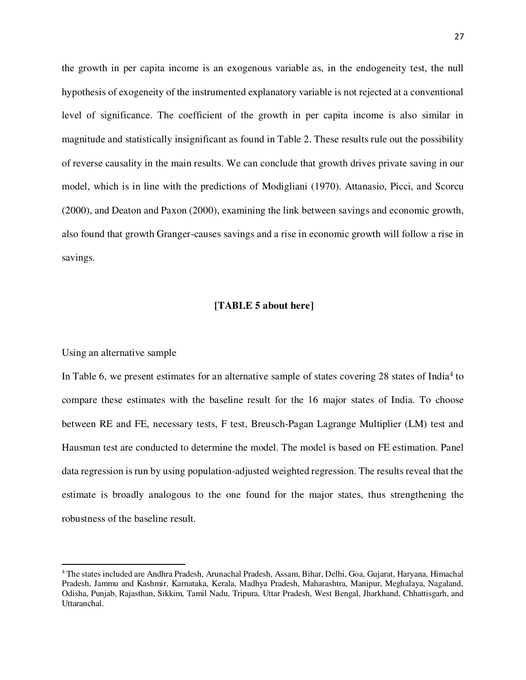the growth in per capita income is an exogenous variable as, in the endogeneity test, the null hypothesis of exogeneity of the instrumented explanatory variable is not rejected at a conventional level of significance. The coefficient of the growth in per capita income is also similar in magnitude and statistically insignificant as found in Table 2. These results rule out the possibility of reverse causality in the main results. We can conclude that growth drives private saving in our model, which is in line with the predictions of Modigliani (1970). Attanasio, Picci, and Scorcu (2000), and Deaton and Paxon (2000), examining the link between savings and economic growth, also found that growth Granger-causes savings and a rise in economic growth will follow a rise in savings.

#### **[TABLE 5 about here]**

#### Using an alternative sample

l

In Table 6, we present estimates for an alternative sample of states covering 28 states of India<sup>4</sup> to compare these estimates with the baseline result for the 16 major states of India. To choose between RE and FE, necessary tests, F test, Breusch-Pagan Lagrange Multiplier (LM) test and Hausman test are conducted to determine the model. The model is based on FE estimation. Panel data regression is run by using population-adjusted weighted regression. The results reveal that the estimate is broadly analogous to the one found for the major states, thus strengthening the robustness of the baseline result.

<sup>4</sup> The states included are Andhra Pradesh, Arunachal Pradesh, Assam, Bihar, Delhi, Goa, Gujarat, Haryana, Himachal Pradesh, Jammu and Kashmir, Karnataka, Kerala, Madhya Pradesh, Maharashtra, Manipur, Meghalaya, Nagaland, Odisha, Punjab, Rajasthan, Sikkim, Tamil Nadu, Tripura, Uttar Pradesh, West Bengal, Jharkhand, Chhattisgarh, and Uttaranchal.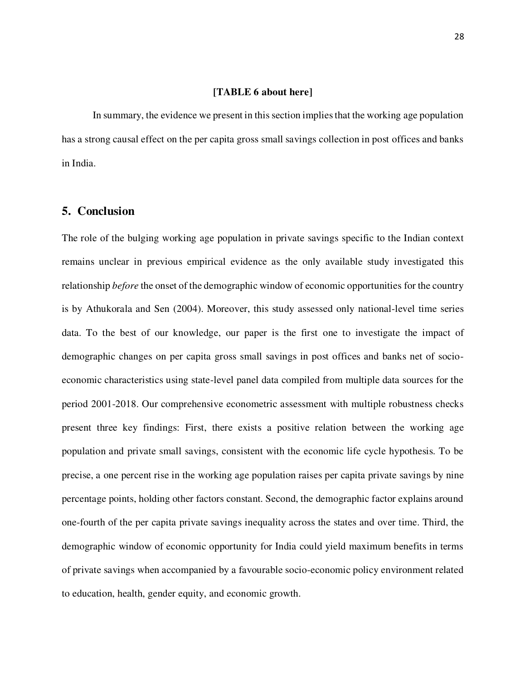#### **[TABLE 6 about here]**

In summary, the evidence we present in this section implies that the working age population has a strong causal effect on the per capita gross small savings collection in post offices and banks in India.

### **5. Conclusion**

The role of the bulging working age population in private savings specific to the Indian context remains unclear in previous empirical evidence as the only available study investigated this relationship *before* the onset of the demographic window of economic opportunities for the country is by Athukorala and Sen (2004). Moreover, this study assessed only national-level time series data. To the best of our knowledge, our paper is the first one to investigate the impact of demographic changes on per capita gross small savings in post offices and banks net of socioeconomic characteristics using state-level panel data compiled from multiple data sources for the period 2001-2018. Our comprehensive econometric assessment with multiple robustness checks present three key findings: First, there exists a positive relation between the working age population and private small savings, consistent with the economic life cycle hypothesis. To be precise, a one percent rise in the working age population raises per capita private savings by nine percentage points, holding other factors constant. Second, the demographic factor explains around one-fourth of the per capita private savings inequality across the states and over time. Third, the demographic window of economic opportunity for India could yield maximum benefits in terms of private savings when accompanied by a favourable socio-economic policy environment related to education, health, gender equity, and economic growth.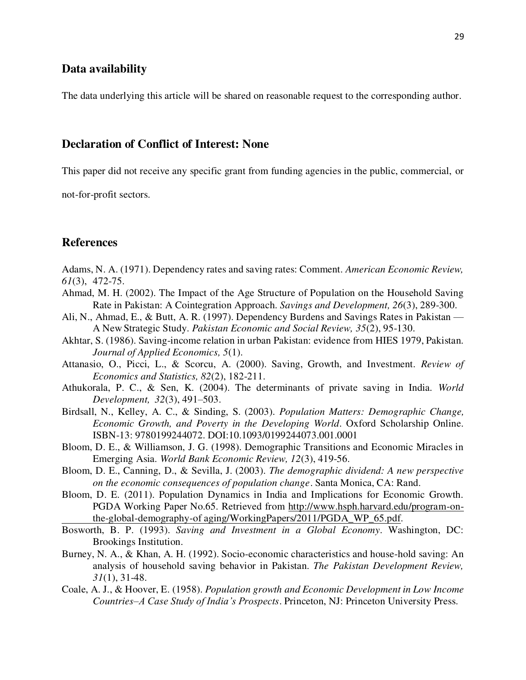# **Data availability**

The data underlying this article will be shared on reasonable request to the corresponding author.

# **Declaration of Conflict of Interest: None**

This paper did not receive any specific grant from funding agencies in the public, commercial, or

not-for-profit sectors.

# **References**

- Adams, N. A. (1971). Dependency rates and saving rates: Comment. *American Economic Review, 61*(3), 472-75.
- Ahmad, M. H. (2002). The Impact of the Age Structure of Population on the Household Saving Rate in Pakistan: A Cointegration Approach. *Savings and Development, 26*(3), 289-300.
- Ali, N., Ahmad, E., & Butt, A. R. (1997). Dependency Burdens and Savings Rates in Pakistan A New Strategic Study. *Pakistan Economic and Social Review, 35*(2), 95-130.
- Akhtar, S. (1986). Saving-income relation in urban Pakistan: evidence from HIES 1979, Pakistan. *Journal of Applied Economics, 5*(1).
- Attanasio, O., Picci, L., & Scorcu, A. (2000). Saving, Growth, and Investment. *Review of Economics and Statistics, 82*(2), 182-211.
- Athukorala, P. C., & Sen, K. (2004). The determinants of private saving in India. *World Development, 32*(3), 491–503.
- Birdsall, N., Kelley, A. C., & Sinding, S. (2003). *Population Matters: Demographic Change, Economic Growth, and Poverty in the Developing World*. Oxford Scholarship Online. ISBN-13: 9780199244072. DOI:10.1093/0199244073.001.0001
- Bloom, D. E., & Williamson, J. G. (1998). Demographic Transitions and Economic Miracles in Emerging Asia. *World Bank Economic Review, 12*(3), 419-56.
- Bloom, D. E., Canning, D., & Sevilla, J. (2003). *The demographic dividend: A new perspective on the economic consequences of population change*. Santa Monica, CA: Rand.
- Bloom, D. E. (2011). Population Dynamics in India and Implications for Economic Growth. PGDA Working Paper No.65. Retrieved from [http://www.hsph.harvard.edu/program-on](http://www.hsph.harvard.edu/program-on-%09the-global-demography-of%20aging/WorkingPapers/2011/PGDA_WP_65.pdf)  [the-global-demography-of aging/WorkingPapers/2011/PGDA\\_WP\\_65.pdf.](http://www.hsph.harvard.edu/program-on-%09the-global-demography-of%20aging/WorkingPapers/2011/PGDA_WP_65.pdf)
- Bosworth, B. P. (1993). *Saving and Investment in a Global Economy*. Washington, DC: Brookings Institution.
- Burney, N. A., & Khan, A. H. (1992). Socio-economic characteristics and house-hold saving: An analysis of household saving behavior in Pakistan. *The Pakistan Development Review, 31*(1), 31-48.
- Coale, A. J., & Hoover, E. (1958). *Population growth and Economic Development in Low Income Countries–A Case Study of India's Prospects*. Princeton, NJ: Princeton University Press.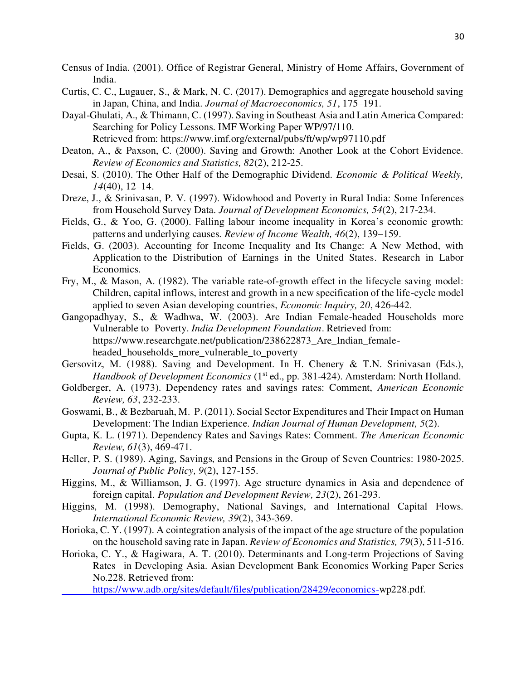- Census of India. (2001). Office of Registrar General, Ministry of Home Affairs, Government of India.
- Curtis, C. C., Lugauer, S., & Mark, N. C. (2017). Demographics and aggregate household saving in Japan, China, and India. *Journal of Macroeconomics, 51*, 175–191.
- Dayal-Ghulati, A., & Thimann, C. (1997). Saving in Southeast Asia and Latin America Compared: Searching for Policy Lessons. IMF Working Paper WP/97/110.
	- Retrieved from: https://www.imf.org/external/pubs/ft/wp/wp97110.pdf
- Deaton, A., & Paxson, C. (2000). Saving and Growth: Another Look at the Cohort Evidence. *Review of Economics and Statistics, 82*(2), 212-25.
- Desai, S. (2010). The Other Half of the Demographic Dividend*. Economic & Political Weekly, 14*(40), 12–14.
- Dreze, J., & Srinivasan, P. V. (1997). Widowhood and Poverty in Rural India: Some Inferences from Household Survey Data. *Journal of Development Economics, 54*(2), 217-234.
- Fields, G., & Yoo, G. (2000). Falling labour income inequality in Korea's economic growth: patterns and underlying causes. *Review of Income Wealth, 46*(2), 139–159.
- Fields, G. (2003). Accounting for Income Inequality and Its Change: A New Method, with Application to the Distribution of Earnings in the United States. Research in Labor Economics.
- Fry, M., & Mason, A. (1982). The variable rate-of-growth effect in the lifecycle saving model: Children, capital inflows, interest and growth in a new specification of the life-cycle model applied to seven Asian developing countries, *Economic Inquiry, 20*, 426-442.
- Gangopadhyay, S., & Wadhwa, W. (2003). Are Indian Female-headed Households more Vulnerable to Poverty. *India Development Foundation*. Retrieved from: https://www.researchgate.net/publication/238622873 Are Indian femaleheaded households more vulnerable to poverty
- Gersovitz, M. (1988). Saving and Development. In H. Chenery & T.N. Srinivasan (Eds.), *Handbook of Development Economics* (1<sup>st</sup> ed., pp. 381-424). Amsterdam: North Holland.
- Goldberger, A. (1973). Dependency rates and savings rates: Comment, *American Economic Review, 63*, 232-233.
- Goswami, B., & Bezbaruah, M. P. (2011). Social Sector Expenditures and Their Impact on Human Development: The Indian Experience. *Indian Journal of Human Development, 5*(2).
- Gupta, K. L. (1971). Dependency Rates and Savings Rates: Comment. *The American Economic Review, 61*(3), 469-471.
- Heller, P. S. (1989). Aging, Savings, and Pensions in the Group of Seven Countries: 1980-2025. *Journal of Public Policy, 9*(2), 127-155.
- Higgins, M., & Williamson, J. G. (1997). Age structure dynamics in Asia and dependence of foreign capital. *Population and Development Review, 23*(2), 261-293.
- Higgins, M. (1998). Demography, National Savings, and International Capital Flows. *International Economic Review, 39*(2), 343-369.
- Horioka, C. Y. (1997). A cointegration analysis of the impact of the age structure of the population on the household saving rate in Japan. *Review of Economics and Statistics, 79*(3), 511-516.
- Horioka, C. Y., & Hagiwara, A. T. (2010). Determinants and Long-term Projections of Saving Rates in Developing Asia. Asian Development Bank Economics Working Paper Series No.228. Retrieved from:
	- [https://www.adb.org/sites/default/files/publication/28429/economics-w](https://www.adb.org/sites/default/files/publication/28429/economics-)p228.pdf.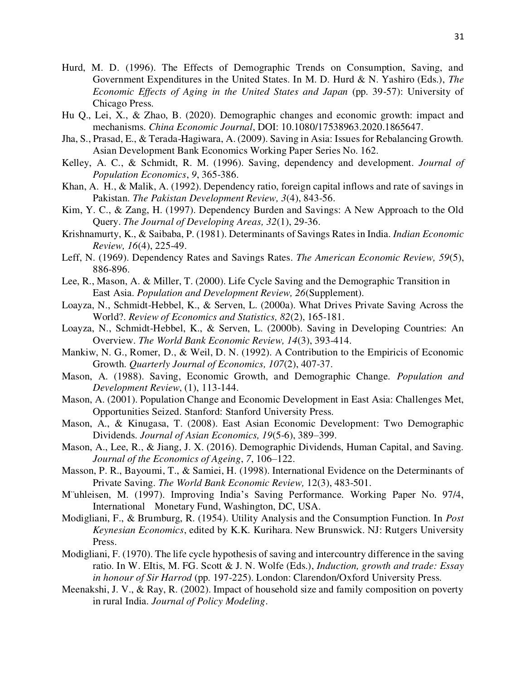- Hurd, M. D. (1996). The Effects of Demographic Trends on Consumption, Saving, and Government Expenditures in the United States. In M. D. Hurd & N. Yashiro (Eds.), *The Economic Effects of Aging in the United States and Japan (pp. 39-57): University of* Chicago Press.
- Hu Q., Lei, X., & Zhao, B. (2020). Demographic changes and economic growth: impact and mechanisms. *China Economic Journal*, DOI: 10.1080/17538963.2020.1865647.
- Jha, S., Prasad, E., & Terada-Hagiwara, A. (2009). Saving in Asia: Issues for Rebalancing Growth. Asian Development Bank Economics Working Paper Series No. 162.
- Kelley, A. C., & Schmidt, R. M. (1996). Saving, dependency and development. *Journal of Population Economics*, *9*, 365-386.
- Khan, A. H., & Malik, A. (1992). Dependency ratio, foreign capital inflows and rate of savings in Pakistan. *The Pakistan Development Review, 3*(4), 843-56.
- Kim, Y. C., & Zang, H. (1997). Dependency Burden and Savings: A New Approach to the Old Query. *The Journal of Developing Areas, 32*(1), 29-36.
- Krishnamurty, K., & Saibaba, P. (1981). Determinants of Savings Rates in India. *Indian Economic Review, 16*(4), 225-49.
- Leff, N. (1969). Dependency Rates and Savings Rates. *The American Economic Review, 59*(5), 886-896.
- Lee, R., Mason, A. & Miller, T. (2000). Life Cycle Saving and the Demographic Transition in East Asia. *Population and Development Review, 26*(Supplement).
- Loayza, N., Schmidt-Hebbel, K., & Serven, L. (2000a). What Drives Private Saving Across the World?. *Review of Economics and Statistics, 82*(2), 165-181.
- Loayza, N., Schmidt-Hebbel, K., & Serven, L. (2000b). Saving in Developing Countries: An Overview. *The World Bank Economic Review, 14*(3), 393-414.
- Mankiw, N. G., Romer, D., & Weil, D. N. (1992). A Contribution to the Empiricis of Economic Growth. *Quarterly Journal of Economics, 107*(2), 407-37.
- Mason, A. (1988). Saving, Economic Growth, and Demographic Change. *Population and Development Review*, (1), 113-144.
- Mason, A. (2001). Population Change and Economic Development in East Asia: Challenges Met, Opportunities Seized. Stanford: Stanford University Press.
- Mason, A., & Kinugasa, T. (2008). East Asian Economic Development: Two Demographic Dividends. *Journal of Asian Economics, 19*(5-6), 389–399.
- Mason, A., Lee, R., & Jiang, J. X. (2016). Demographic Dividends, Human Capital, and Saving. *Journal of the Economics of Ageing*, *7*, 106–122.
- Masson, P. R., Bayoumi, T., & Samiei, H. (1998). International Evidence on the Determinants of Private Saving. *The World Bank Economic Review,* 12(3), 483-501.
- M¨uhleisen, M. (1997). Improving India's Saving Performance. Working Paper No. 97/4, International Monetary Fund, Washington, DC, USA.
- Modigliani, F., & Brumburg, R. (1954). Utility Analysis and the Consumption Function. In *Post Keynesian Economics*, edited by K.K. Kurihara. New Brunswick. NJ: Rutgers University Press.
- Modigliani, F. (1970). The life cycle hypothesis of saving and intercountry difference in the saving ratio. In W. EItis, M. FG. Scott & J. N. Wolfe (Eds.), *Induction, growth and trade: Essay in honour of Sir Harrod* (pp. 197-225). London: Clarendon/Oxford University Press.
- Meenakshi, J. V., & Ray, R. (2002). Impact of household size and family composition on poverty in rural India. *Journal of Policy Modeling*.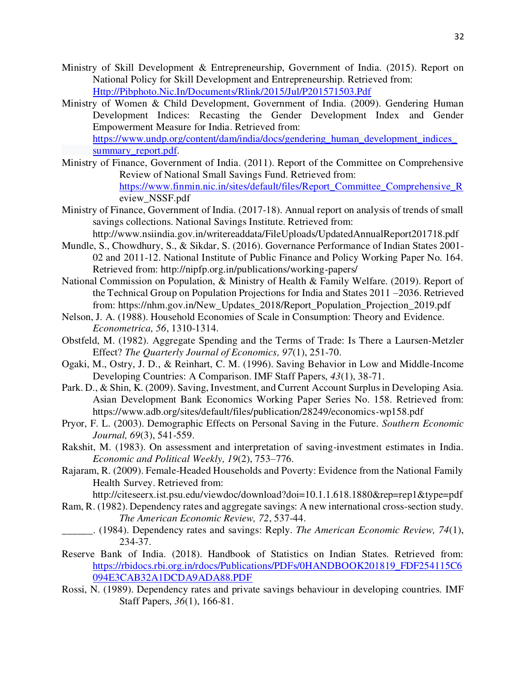- Ministry of Skill Development & Entrepreneurship, Government of India. (2015). Report on National Policy for Skill Development and Entrepreneurship. Retrieved from: [Http://Pibphoto.Nic.In/Documents/Rlink/2015/Jul/P201571503.Pdf](http://pibphoto.nic.in/documents/rlink/2015/jul/p201571503.pdf)
- Ministry of Women & Child Development, Government of India. (2009). Gendering Human Development Indices: Recasting the Gender Development Index and Gender Empowerment Measure for India. Retrieved from: https://www.undp.org/content/dam/india/docs/gendering\_human\_development\_indices [summary\\_report.pdf.](https://www.undp.org/content/dam/india/docs/gendering_human_development_indices_%20%20%20%20%20%20%09summary_report.pdf)
- Ministry of Finance, Government of India. (2011). Report of the Committee on Comprehensive Review of National Small Savings Fund. Retrieved from: [https://www.finmin.nic.in/sites/default/files/Report\\_Committee\\_Comprehensive\\_R](https://www.finmin.nic.in/sites/default/files/Report_Committee_Comprehensive_R) eview\_NSSF.pdf
- Ministry of Finance, Government of India. (2017-18). Annual report on analysis of trends of small savings collections. National Savings Institute. Retrieved from: http://www.nsiindia.gov.in/writereaddata/FileUploads/UpdatedAnnualReport201718.pdf
- Mundle, S., Chowdhury, S., & Sikdar, S. (2016). Governance Performance of Indian States 2001- 02 and 2011-12. National Institute of Public Finance and Policy Working Paper No. 164. Retrieved from: http://nipfp.org.in/publications/working-papers/
- National Commission on Population, & Ministry of Health & Family Welfare. (2019). Report of the Technical Group on Population Projections for India and States 2011 –2036. Retrieved from: https://nhm.gov.in/New\_Updates\_2018/Report\_Population\_Projection\_2019.pdf
- Nelson, J. A. (1988). Household Economies of Scale in Consumption: Theory and Evidence. *Econometrica, 56*, 1310-1314.
- Obstfeld, M. (1982). Aggregate Spending and the Terms of Trade: Is There a Laursen-Metzler Effect? *The Quarterly Journal of Economics, 97*(1), 251-70.
- Ogaki, M., Ostry, J. D., & Reinhart, C. M. (1996). Saving Behavior in Low and Middle-Income Developing Countries: A Comparison. IMF Staff Papers, *43*(1), 38-71.
- Park. D., & Shin, K. (2009). Saving, Investment, and Current Account Surplus in Developing Asia. Asian Development Bank Economics Working Paper Series No. 158. Retrieved from: https://www.adb.org/sites/default/files/publication/28249/economics-wp158.pdf
- Pryor, F. L. (2003). Demographic Effects on Personal Saving in the Future. *Southern Economic Journal, 69*(3), 541-559.
- Rakshit, M. (1983). On assessment and interpretation of saving-investment estimates in India. *Economic and Political Weekly, 19*(2), 753–776.
- Rajaram, R. (2009). Female-Headed Households and Poverty: Evidence from the National Family Health Survey. Retrieved from:

http://citeseerx.ist.psu.edu/viewdoc/download?doi=10.1.1.618.1880&rep=rep1&type=pdf

- Ram, R. (1982). Dependency rates and aggregate savings: A new international cross-section study. *The American Economic Review, 72*, 537-44.
- \_\_\_\_\_\_. (1984). Dependency rates and savings: Reply. *The American Economic Review, 74*(1), 234-37.
- Reserve Bank of India. (2018). Handbook of Statistics on Indian States. Retrieved from: [https://rbidocs.rbi.org.in/rdocs/Publications/PDFs/0HANDBOOK201819\\_FDF254115C6](https://rbidocs.rbi.org.in/rdocs/Publications/PDFs/0HANDBOOK201819_FDF254115C6%09094E3CAB32A1DCDA9ADA88.PDF) [094E3CAB32A1DCDA9ADA88.PDF](https://rbidocs.rbi.org.in/rdocs/Publications/PDFs/0HANDBOOK201819_FDF254115C6%09094E3CAB32A1DCDA9ADA88.PDF)
- Rossi, N. (1989). Dependency rates and private savings behaviour in developing countries. IMF Staff Papers, *36*(1), 166-81.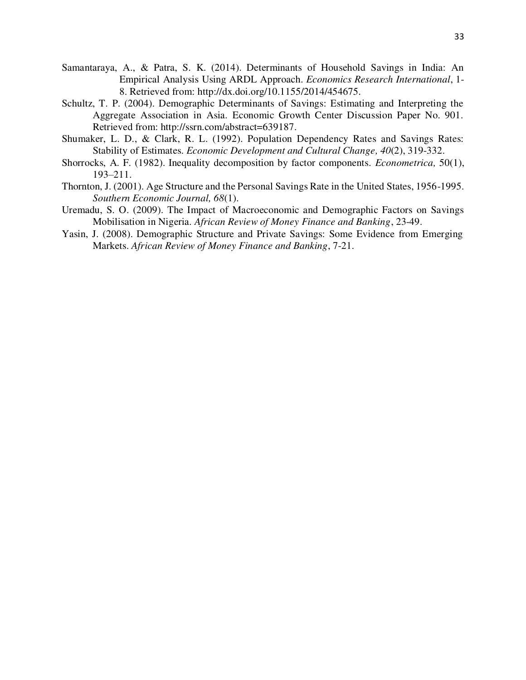- Samantaraya, A., & Patra, S. K. (2014). Determinants of Household Savings in India: An Empirical Analysis Using ARDL Approach. *Economics Research International*, 1- 8. Retrieved from: http://dx.doi.org/10.1155/2014/454675.
- Schultz, T. P. (2004). Demographic Determinants of Savings: Estimating and Interpreting the Aggregate Association in Asia. Economic Growth Center Discussion Paper No. 901. Retrieved from: http://ssrn.com/abstract=639187.
- Shumaker, L. D., & Clark, R. L. (1992). Population Dependency Rates and Savings Rates: Stability of Estimates. *Economic Development and Cultural Change, 40*(2), 319-332.
- Shorrocks, A. F. (1982). Inequality decomposition by factor components. *Econometrica,* 50(1), 193–211.
- Thornton, J. (2001). Age Structure and the Personal Savings Rate in the United States, 1956-1995. *Southern Economic Journal, 68*(1).
- Uremadu, S. O. (2009). The Impact of Macroeconomic and Demographic Factors on Savings Mobilisation in Nigeria. *African Review of Money Finance and Banking*, 23-49.
- Yasin, J. (2008). Demographic Structure and Private Savings: Some Evidence from Emerging Markets. *African Review of Money Finance and Banking*, 7-21.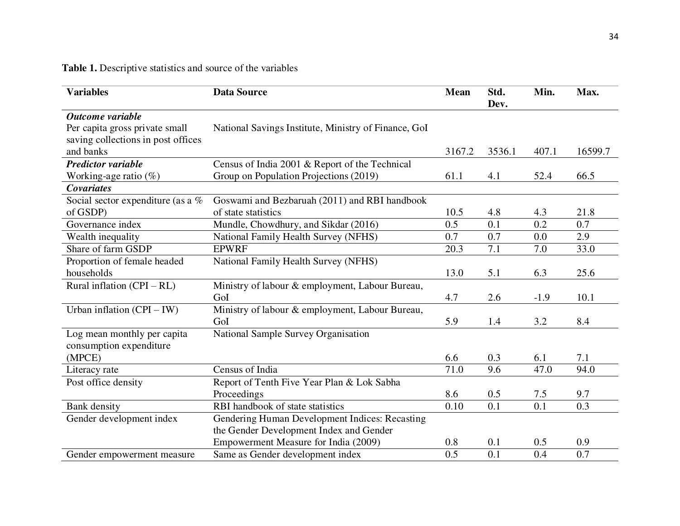**Table 1.** Descriptive statistics and source of the variables

| <b>Variables</b>                   | <b>Data Source</b>                                   | <b>Mean</b> | Std.<br>Dev. | Min.   | Max.    |
|------------------------------------|------------------------------------------------------|-------------|--------------|--------|---------|
| Outcome variable                   |                                                      |             |              |        |         |
| Per capita gross private small     | National Savings Institute, Ministry of Finance, GoI |             |              |        |         |
| saving collections in post offices |                                                      |             |              |        |         |
| and banks                          |                                                      | 3167.2      | 3536.1       | 407.1  | 16599.7 |
| <b>Predictor variable</b>          | Census of India 2001 & Report of the Technical       |             |              |        |         |
| Working-age ratio $(\%)$           | Group on Population Projections (2019)               | 61.1        | 4.1          | 52.4   | 66.5    |
| <b>Covariates</b>                  |                                                      |             |              |        |         |
| Social sector expenditure (as a %  | Goswami and Bezbaruah (2011) and RBI handbook        |             |              |        |         |
| of GSDP)                           | of state statistics                                  | 10.5        | 4.8          | 4.3    | 21.8    |
| Governance index                   | Mundle, Chowdhury, and Sikdar (2016)                 | 0.5         | 0.1          | 0.2    | 0.7     |
| Wealth inequality                  | National Family Health Survey (NFHS)                 | 0.7         | 0.7          | 0.0    | 2.9     |
| Share of farm GSDP                 | <b>EPWRF</b>                                         | 20.3        | 7.1          | 7.0    | 33.0    |
| Proportion of female headed        | National Family Health Survey (NFHS)                 |             |              |        |         |
| households                         |                                                      | 13.0        | 5.1          | 6.3    | 25.6    |
| Rural inflation $(CPI - RL)$       | Ministry of labour & employment, Labour Bureau,      |             |              |        |         |
|                                    | GoI                                                  | 4.7         | 2.6          | $-1.9$ | 10.1    |
| Urban inflation $(CPI - IW)$       | Ministry of labour & employment, Labour Bureau,      |             |              |        |         |
|                                    | GoI                                                  | 5.9         | 1.4          | 3.2    | 8.4     |
| Log mean monthly per capita        | National Sample Survey Organisation                  |             |              |        |         |
| consumption expenditure            |                                                      |             |              |        |         |
| (MPCE)                             |                                                      | 6.6         | 0.3          | 6.1    | 7.1     |
| Literacy rate                      | Census of India                                      | 71.0        | 9.6          | 47.0   | 94.0    |
| Post office density                | Report of Tenth Five Year Plan & Lok Sabha           |             |              |        |         |
|                                    | Proceedings                                          | 8.6         | 0.5          | 7.5    | 9.7     |
| Bank density                       | RBI handbook of state statistics                     | 0.10        | 0.1          | 0.1    | 0.3     |
| Gender development index           | Gendering Human Development Indices: Recasting       |             |              |        |         |
|                                    | the Gender Development Index and Gender              |             |              |        |         |
|                                    | Empowerment Measure for India (2009)                 | 0.8         | 0.1          | 0.5    | 0.9     |
| Gender empowerment measure         | Same as Gender development index                     | 0.5         | 0.1          | 0.4    | 0.7     |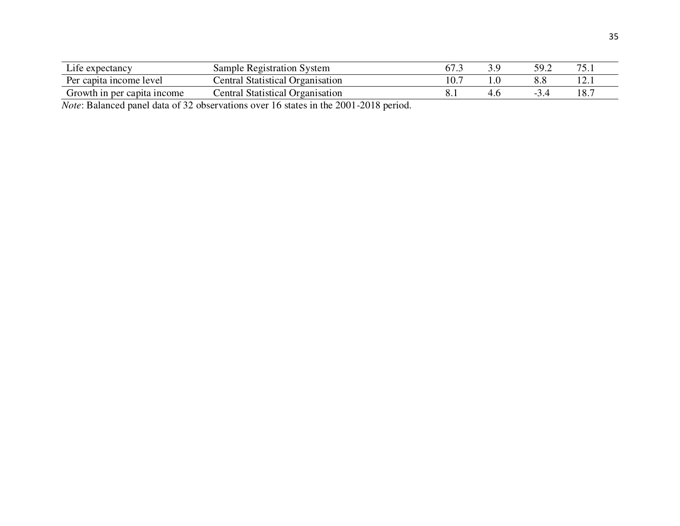| Life expectancy              | Sample Registration System              | 67.1 | 59.2 | 75  |
|------------------------------|-----------------------------------------|------|------|-----|
| Per capita income level      | Central Statistical Organisation        |      |      |     |
| Growth in per capita income. | <b>Central Statistical Organisation</b> |      |      | 18. |

*Note*: Balanced panel data of 32 observations over 16 states in the 2001-2018 period.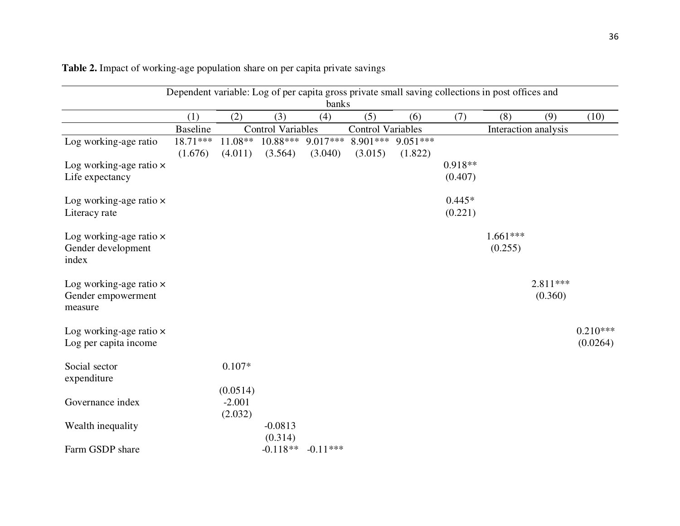| Dependent variable: Log of per capita gross private small saving collections in post offices and |                 |           |                          |                       |                                       |         |           |            |                      |            |
|--------------------------------------------------------------------------------------------------|-----------------|-----------|--------------------------|-----------------------|---------------------------------------|---------|-----------|------------|----------------------|------------|
|                                                                                                  |                 |           |                          | banks                 |                                       |         |           |            |                      |            |
|                                                                                                  | (1)             | (2)       | (3)                      | (4)                   | (5)                                   | (6)     | (7)       | (8)        | (9)                  | (10)       |
|                                                                                                  | <b>Baseline</b> |           | <b>Control Variables</b> |                       | <b>Control Variables</b>              |         |           |            | Interaction analysis |            |
| Log working-age ratio                                                                            | $18.71***$      | $11.08**$ |                          |                       | $10.88***$ 9.017*** 8.901*** 9.051*** |         |           |            |                      |            |
|                                                                                                  | (1.676)         | (4.011)   | (3.564)                  | (3.040)               | (3.015)                               | (1.822) |           |            |                      |            |
| Log working-age ratio $\times$                                                                   |                 |           |                          |                       |                                       |         | $0.918**$ |            |                      |            |
| Life expectancy                                                                                  |                 |           |                          |                       |                                       |         | (0.407)   |            |                      |            |
| Log working-age ratio x                                                                          |                 |           |                          |                       |                                       |         | $0.445*$  |            |                      |            |
| Literacy rate                                                                                    |                 |           |                          |                       |                                       |         | (0.221)   |            |                      |            |
| Log working-age ratio $\times$                                                                   |                 |           |                          |                       |                                       |         |           | $1.661***$ |                      |            |
| Gender development<br>index                                                                      |                 |           |                          |                       |                                       |         |           | (0.255)    |                      |            |
| Log working-age ratio $\times$                                                                   |                 |           |                          |                       |                                       |         |           |            | $2.811***$           |            |
| Gender empowerment<br>measure                                                                    |                 |           |                          |                       |                                       |         |           |            | (0.360)              |            |
| Log working-age ratio $\times$                                                                   |                 |           |                          |                       |                                       |         |           |            |                      | $0.210***$ |
| Log per capita income                                                                            |                 |           |                          |                       |                                       |         |           |            |                      | (0.0264)   |
| Social sector<br>expenditure                                                                     |                 | $0.107*$  |                          |                       |                                       |         |           |            |                      |            |
|                                                                                                  |                 | (0.0514)  |                          |                       |                                       |         |           |            |                      |            |
| Governance index                                                                                 |                 | $-2.001$  |                          |                       |                                       |         |           |            |                      |            |
|                                                                                                  |                 | (2.032)   |                          |                       |                                       |         |           |            |                      |            |
| Wealth inequality                                                                                |                 |           | $-0.0813$                |                       |                                       |         |           |            |                      |            |
|                                                                                                  |                 |           | (0.314)                  |                       |                                       |         |           |            |                      |            |
| Farm GSDP share                                                                                  |                 |           |                          | $-0.118**$ $-0.11***$ |                                       |         |           |            |                      |            |

**Table 2.** Impact of working-age population share on per capita private savings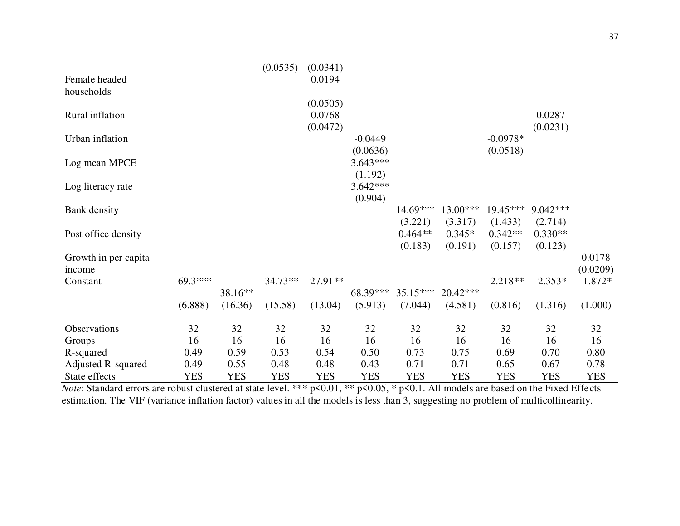|                           |            |            | (0.0535)   | (0.0341)   |            |            |            |            |            |            |
|---------------------------|------------|------------|------------|------------|------------|------------|------------|------------|------------|------------|
| Female headed             |            |            |            | 0.0194     |            |            |            |            |            |            |
| households                |            |            |            |            |            |            |            |            |            |            |
|                           |            |            |            | (0.0505)   |            |            |            |            |            |            |
| Rural inflation           |            |            |            | 0.0768     |            |            |            |            | 0.0287     |            |
|                           |            |            |            | (0.0472)   |            |            |            |            | (0.0231)   |            |
| Urban inflation           |            |            |            |            | $-0.0449$  |            |            | $-0.0978*$ |            |            |
|                           |            |            |            |            | (0.0636)   |            |            | (0.0518)   |            |            |
| Log mean MPCE             |            |            |            |            | $3.643***$ |            |            |            |            |            |
|                           |            |            |            |            | (1.192)    |            |            |            |            |            |
| Log literacy rate         |            |            |            |            | $3.642***$ |            |            |            |            |            |
|                           |            |            |            |            | (0.904)    |            |            |            |            |            |
| Bank density              |            |            |            |            |            | 14.69***   | $13.00***$ | $19.45***$ | 9.042***   |            |
|                           |            |            |            |            |            | (3.221)    | (3.317)    | (1.433)    | (2.714)    |            |
| Post office density       |            |            |            |            |            | $0.464**$  | $0.345*$   | $0.342**$  | $0.330**$  |            |
|                           |            |            |            |            |            | (0.183)    | (0.191)    | (0.157)    | (0.123)    |            |
| Growth in per capita      |            |            |            |            |            |            |            |            |            | 0.0178     |
| income                    |            |            |            |            |            |            |            |            |            | (0.0209)   |
| Constant                  | $-69.3***$ |            | $-34.73**$ | $-27.91**$ |            |            |            | $-2.218**$ | $-2.353*$  | $-1.872*$  |
|                           |            | 38.16**    |            |            | 68.39***   | $35.15***$ | $20.42***$ |            |            |            |
|                           | (6.888)    | (16.36)    | (15.58)    | (13.04)    | (5.913)    | (7.044)    | (4.581)    | (0.816)    | (1.316)    | (1.000)    |
|                           |            |            |            |            |            |            |            |            |            |            |
| Observations              | 32         | 32         | 32         | 32         | 32         | 32         | 32         | 32         | 32         | 32         |
| Groups                    | 16         | 16         | 16         | 16         | 16         | 16         | 16         | 16         | 16         | 16         |
| R-squared                 | 0.49       | 0.59       | 0.53       | 0.54       | 0.50       | 0.73       | 0.75       | 0.69       | 0.70       | 0.80       |
| <b>Adjusted R-squared</b> | 0.49       | 0.55       | 0.48       | 0.48       | 0.43       | 0.71       | 0.71       | 0.65       | 0.67       | 0.78       |
| State effects             | <b>YES</b> | <b>YES</b> | <b>YES</b> | <b>YES</b> | <b>YES</b> | <b>YES</b> | <b>YES</b> | <b>YES</b> | <b>YES</b> | <b>YES</b> |

*Note*: Standard errors are robust clustered at state level. \*\*\* p<0.01, \*\* p<0.05, \* p<0.1. All models are based on the Fixed Effects estimation. The VIF (variance inflation factor) values in all the models is less than 3, suggesting no problem of multicollinearity.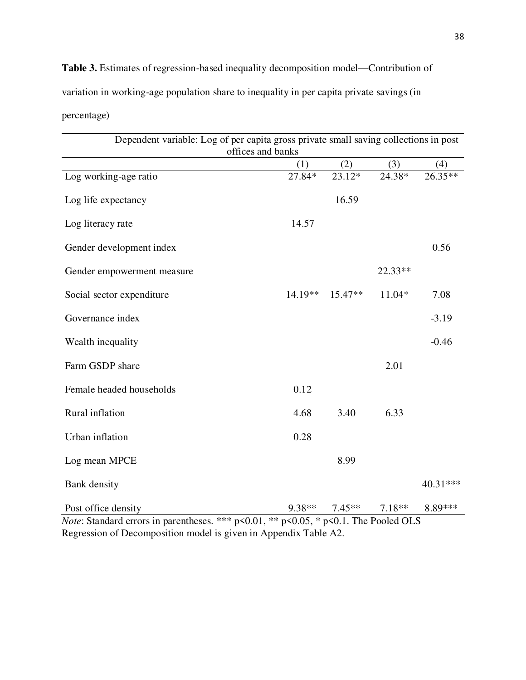**Table 3.** Estimates of regression-based inequality decomposition model—Contribution of variation in working-age population share to inequality in per capita private savings (in percentage)

| Dependent variable: Log of per capita gross private small saving collections in post<br>offices and banks |           |          |          |          |  |  |  |  |  |
|-----------------------------------------------------------------------------------------------------------|-----------|----------|----------|----------|--|--|--|--|--|
|                                                                                                           | (1)       | (2)      | (3)      | (4)      |  |  |  |  |  |
| Log working-age ratio                                                                                     | 27.84*    | $23.12*$ | 24.38*   | 26.35**  |  |  |  |  |  |
| Log life expectancy                                                                                       |           | 16.59    |          |          |  |  |  |  |  |
| Log literacy rate                                                                                         | 14.57     |          |          |          |  |  |  |  |  |
| Gender development index                                                                                  |           |          |          | 0.56     |  |  |  |  |  |
| Gender empowerment measure                                                                                |           |          | 22.33**  |          |  |  |  |  |  |
| Social sector expenditure                                                                                 | $14.19**$ | 15.47**  | 11.04*   | 7.08     |  |  |  |  |  |
| Governance index                                                                                          |           |          |          | $-3.19$  |  |  |  |  |  |
| Wealth inequality                                                                                         |           |          |          | $-0.46$  |  |  |  |  |  |
| Farm GSDP share                                                                                           |           |          | 2.01     |          |  |  |  |  |  |
| Female headed households                                                                                  | 0.12      |          |          |          |  |  |  |  |  |
| Rural inflation                                                                                           | 4.68      | 3.40     | 6.33     |          |  |  |  |  |  |
| Urban inflation                                                                                           | 0.28      |          |          |          |  |  |  |  |  |
| Log mean MPCE                                                                                             |           | 8.99     |          |          |  |  |  |  |  |
| <b>Bank</b> density                                                                                       |           |          |          | 40.31*** |  |  |  |  |  |
| Post office density                                                                                       | 9.38**    | $7.45**$ | $7.18**$ | 8.89***  |  |  |  |  |  |

*Note*: Standard errors in parentheses. \*\*\* p<0.01, \*\* p<0.05, \* p<0.1. The Pooled OLS Regression of Decomposition model is given in Appendix Table A2.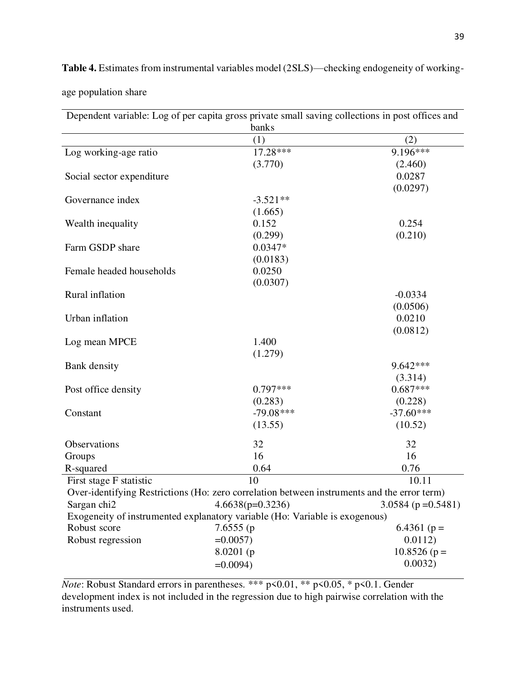| Dependent variable: Log of per capita gross private small saving collections in post offices and |                                                                                             |                       |  |  |  |  |  |  |  |
|--------------------------------------------------------------------------------------------------|---------------------------------------------------------------------------------------------|-----------------------|--|--|--|--|--|--|--|
|                                                                                                  | banks                                                                                       |                       |  |  |  |  |  |  |  |
|                                                                                                  | (1)                                                                                         | (2)                   |  |  |  |  |  |  |  |
| Log working-age ratio                                                                            | 17.28***                                                                                    | $9.196***$            |  |  |  |  |  |  |  |
|                                                                                                  | (3.770)                                                                                     | (2.460)               |  |  |  |  |  |  |  |
| Social sector expenditure                                                                        |                                                                                             | 0.0287                |  |  |  |  |  |  |  |
|                                                                                                  |                                                                                             | (0.0297)              |  |  |  |  |  |  |  |
| Governance index                                                                                 | $-3.521**$                                                                                  |                       |  |  |  |  |  |  |  |
|                                                                                                  | (1.665)                                                                                     |                       |  |  |  |  |  |  |  |
| Wealth inequality                                                                                | 0.152                                                                                       | 0.254                 |  |  |  |  |  |  |  |
|                                                                                                  | (0.299)                                                                                     | (0.210)               |  |  |  |  |  |  |  |
| Farm GSDP share                                                                                  | $0.0347*$                                                                                   |                       |  |  |  |  |  |  |  |
|                                                                                                  | (0.0183)                                                                                    |                       |  |  |  |  |  |  |  |
| Female headed households                                                                         | 0.0250                                                                                      |                       |  |  |  |  |  |  |  |
|                                                                                                  | (0.0307)                                                                                    |                       |  |  |  |  |  |  |  |
| Rural inflation                                                                                  |                                                                                             | $-0.0334$             |  |  |  |  |  |  |  |
|                                                                                                  |                                                                                             | (0.0506)              |  |  |  |  |  |  |  |
| Urban inflation                                                                                  |                                                                                             | 0.0210                |  |  |  |  |  |  |  |
|                                                                                                  |                                                                                             | (0.0812)              |  |  |  |  |  |  |  |
| Log mean MPCE                                                                                    | 1.400                                                                                       |                       |  |  |  |  |  |  |  |
|                                                                                                  | (1.279)                                                                                     |                       |  |  |  |  |  |  |  |
|                                                                                                  |                                                                                             | 9.642***              |  |  |  |  |  |  |  |
| Bank density                                                                                     |                                                                                             |                       |  |  |  |  |  |  |  |
|                                                                                                  |                                                                                             | (3.314)<br>$0.687***$ |  |  |  |  |  |  |  |
| Post office density                                                                              | $0.797***$                                                                                  |                       |  |  |  |  |  |  |  |
|                                                                                                  | (0.283)                                                                                     | (0.228)               |  |  |  |  |  |  |  |
| Constant                                                                                         | $-79.08***$                                                                                 | $-37.60***$           |  |  |  |  |  |  |  |
|                                                                                                  | (13.55)                                                                                     | (10.52)               |  |  |  |  |  |  |  |
| Observations                                                                                     | 32                                                                                          | 32                    |  |  |  |  |  |  |  |
| Groups                                                                                           | 16                                                                                          | 16                    |  |  |  |  |  |  |  |
| R-squared                                                                                        | 0.64                                                                                        | 0.76                  |  |  |  |  |  |  |  |
| First stage F statistic                                                                          | 10                                                                                          | 10.11                 |  |  |  |  |  |  |  |
|                                                                                                  | Over-identifying Restrictions (Ho: zero correlation between instruments and the error term) |                       |  |  |  |  |  |  |  |
| Sargan chi2                                                                                      | $4.6638(p=0.3236)$                                                                          | $3.0584$ (p = 0.5481) |  |  |  |  |  |  |  |
|                                                                                                  | Exogeneity of instrumented explanatory variable (Ho: Variable is exogenous)                 |                       |  |  |  |  |  |  |  |
| Robust score                                                                                     | 7.6555(p)                                                                                   | 6.4361 ( $p =$        |  |  |  |  |  |  |  |
| Robust regression                                                                                | $=0.0057$                                                                                   | 0.0112)               |  |  |  |  |  |  |  |
|                                                                                                  | 8.0201(p)                                                                                   | $10.8526(p=$          |  |  |  |  |  |  |  |
|                                                                                                  |                                                                                             |                       |  |  |  |  |  |  |  |
|                                                                                                  | $=0.0094$ )                                                                                 | 0.0032)               |  |  |  |  |  |  |  |

**Table 4.** Estimates from instrumental variables model (2SLS)—checking endogeneity of working-

age population share

*Note*: Robust Standard errors in parentheses. \*\*\* p<0.01, \*\* p<0.05, \* p<0.1. Gender development index is not included in the regression due to high pairwise correlation with the instruments used.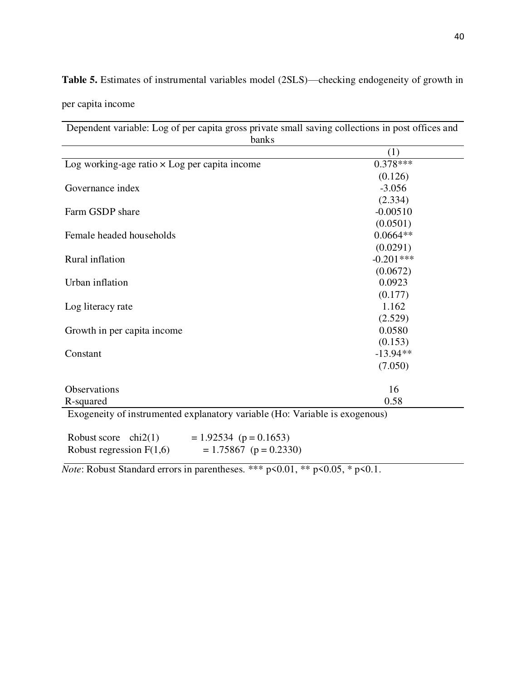**Table 5.** Estimates of instrumental variables model (2SLS)—checking endogeneity of growth in

per capita income

Dependent variable: Log of per capita gross private small saving collections in post offices and banks (1) Log working-age ratio  $\times$  Log per capita income 0.378\*\*\* (0.126) Governance index  $-3.056$ (2.334) Farm GSDP share -0.00510 (0.0501) Female headed households 6.0664\*\* (0.0291) Rural inflation  $-0.201***$ (0.0672) Urban inflation 0.0923 (0.177) Log literacy rate 1.162 (2.529) Growth in per capita income 0.0580 (0.153) Constant -13.94\*\* (7.050) Observations 16  $R$ -squared  $0.58$ Exogeneity of instrumented explanatory variable (Ho: Variable is exogenous) Robust score chi2(1)  $= 1.92534$  (p = 0.1653) Robust regression  $F(1,6)$  = 1.75867 (p = 0.2330)

*Note*: Robust Standard errors in parentheses. \*\*\*  $p \le 0.01$ , \*\*  $p \le 0.05$ , \*  $p \le 0.1$ .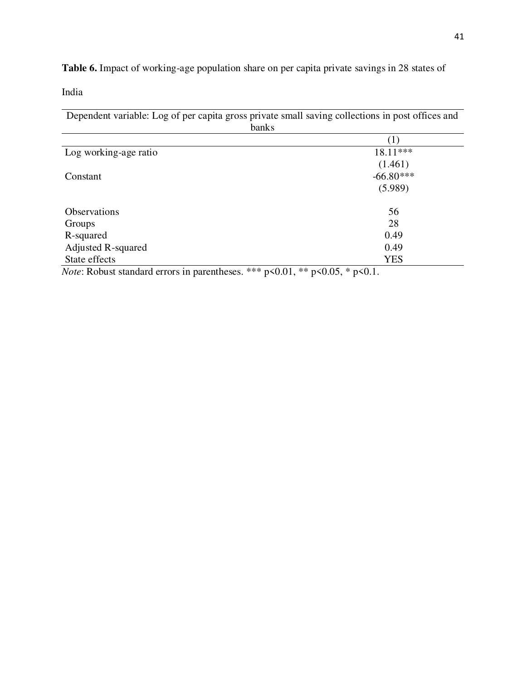**Table 6.** Impact of working-age population share on per capita private savings in 28 states of

India

Dependent variable: Log of per capita gross private small saving collections in post offices and banks

| Log working-age ratio | 18.11***    |
|-----------------------|-------------|
|                       | (1.461)     |
| Constant              | $-66.80***$ |
|                       | (5.989)     |
| <b>Observations</b>   | 56          |
| Groups                | 28          |
| R-squared             | 0.49        |
| Adjusted R-squared    | 0.49        |
| State effects         | <b>YES</b>  |

*Note*: Robust standard errors in parentheses. \*\*\* p<0.01, \*\* p<0.05, \* p<0.1.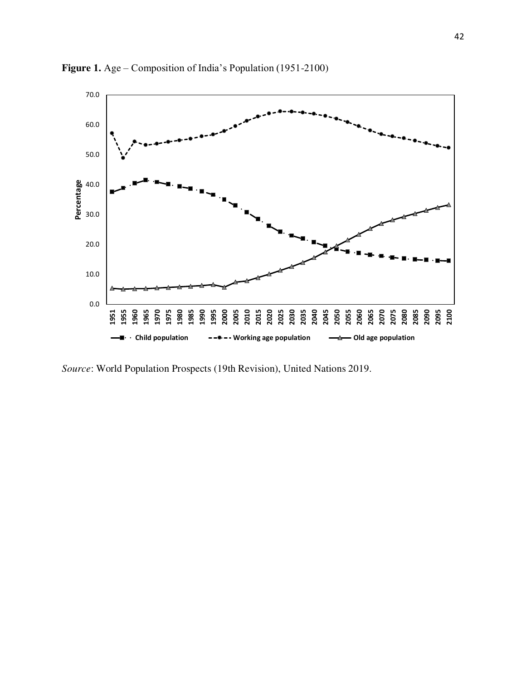

**Figure 1.** Age – Composition of India's Population (1951-2100)

*Source*: World Population Prospects (19th Revision), United Nations 2019.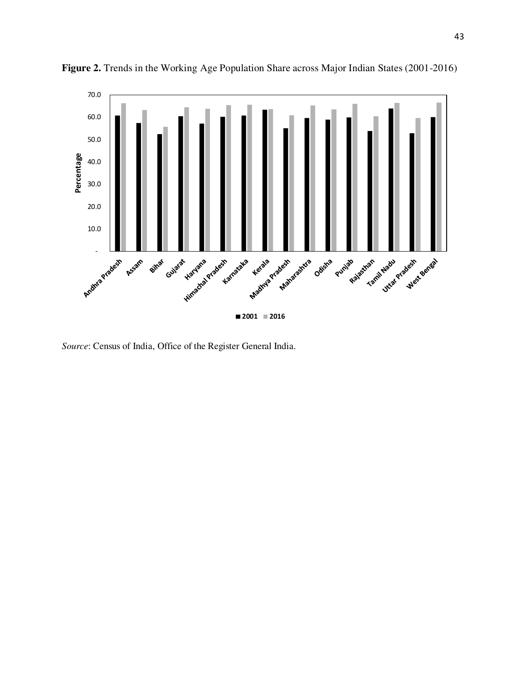

Figure 2. Trends in the Working Age Population Share across Major Indian States (2001-2016)

*Source*: Census of India, Office of the Register General India.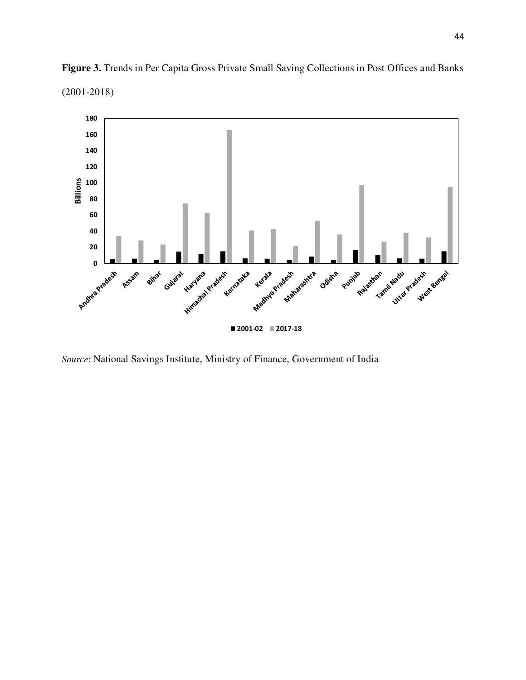

**Figure 3.** Trends in Per Capita Gross Private Small Saving Collections in Post Offices and Banks (2001-2018)

*Source*: National Savings Institute, Ministry of Finance, Government of India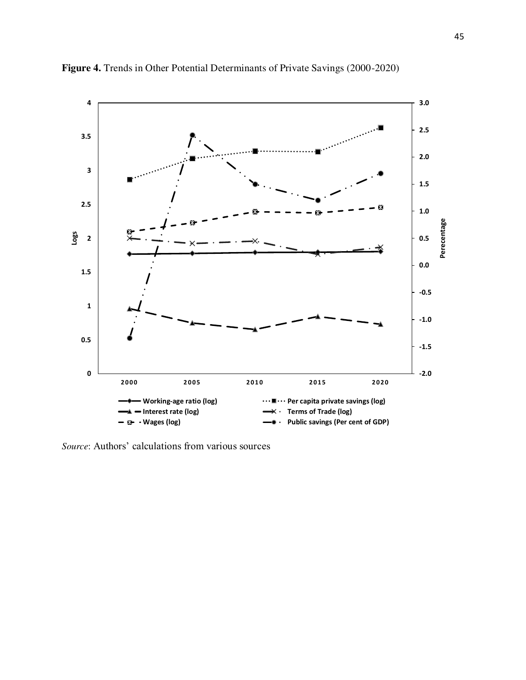

**Figure 4.** Trends in Other Potential Determinants of Private Savings (2000-2020)

*Source*: Authors' calculations from various sources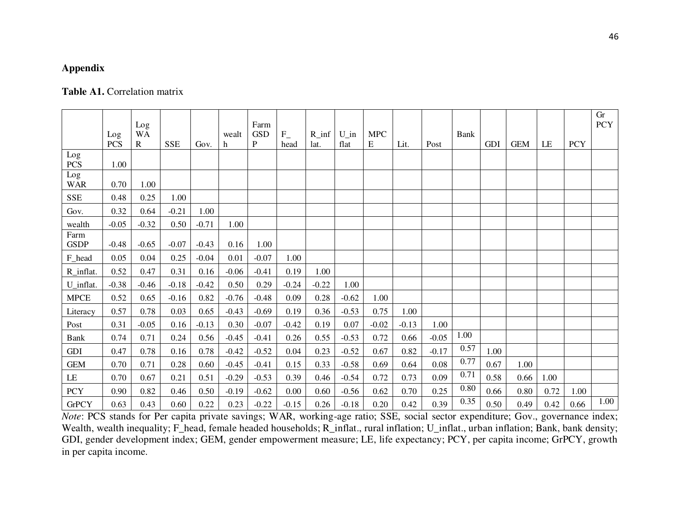# **Appendix**

# Table A1. Correlation matrix

|                         | Log<br><b>PCS</b> | Log<br><b>WA</b><br>R | <b>SSE</b> | Gov.    | wealt<br>h | Farm<br><b>GSD</b><br>P | $F_{-}$<br>head | $R_{inf}$<br>lat. | $U$ in<br>flat | <b>MPC</b><br>E | Lit.    | Post    | Bank | <b>GDI</b> | <b>GEM</b> | LE   | <b>PCY</b> | Gr<br><b>PCY</b> |
|-------------------------|-------------------|-----------------------|------------|---------|------------|-------------------------|-----------------|-------------------|----------------|-----------------|---------|---------|------|------------|------------|------|------------|------------------|
| Log<br>PCS              | 1.00              |                       |            |         |            |                         |                 |                   |                |                 |         |         |      |            |            |      |            |                  |
| $\rm Log$<br><b>WAR</b> | 0.70              | 1.00                  |            |         |            |                         |                 |                   |                |                 |         |         |      |            |            |      |            |                  |
| <b>SSE</b>              | 0.48              | 0.25                  | 1.00       |         |            |                         |                 |                   |                |                 |         |         |      |            |            |      |            |                  |
| Gov.                    | 0.32              | 0.64                  | $-0.21$    | 1.00    |            |                         |                 |                   |                |                 |         |         |      |            |            |      |            |                  |
| wealth                  | $-0.05$           | $-0.32$               | 0.50       | $-0.71$ | 1.00       |                         |                 |                   |                |                 |         |         |      |            |            |      |            |                  |
| Farm<br><b>GSDP</b>     | $-0.48$           | $-0.65$               | $-0.07$    | $-0.43$ | 0.16       | 1.00                    |                 |                   |                |                 |         |         |      |            |            |      |            |                  |
| F_head                  | 0.05              | 0.04                  | 0.25       | $-0.04$ | 0.01       | $-0.07$                 | 1.00            |                   |                |                 |         |         |      |            |            |      |            |                  |
| R_inflat.               | 0.52              | 0.47                  | 0.31       | 0.16    | $-0.06$    | $-0.41$                 | 0.19            | 1.00              |                |                 |         |         |      |            |            |      |            |                  |
| U_inflat.               | $-0.38$           | $-0.46$               | $-0.18$    | $-0.42$ | 0.50       | 0.29                    | $-0.24$         | $-0.22$           | 1.00           |                 |         |         |      |            |            |      |            |                  |
| <b>MPCE</b>             | 0.52              | 0.65                  | $-0.16$    | 0.82    | $-0.76$    | $-0.48$                 | 0.09            | 0.28              | $-0.62$        | 1.00            |         |         |      |            |            |      |            |                  |
| Literacy                | 0.57              | 0.78                  | 0.03       | 0.65    | $-0.43$    | $-0.69$                 | 0.19            | 0.36              | $-0.53$        | 0.75            | 1.00    |         |      |            |            |      |            |                  |
| Post                    | 0.31              | $-0.05$               | 0.16       | $-0.13$ | 0.30       | $-0.07$                 | $-0.42$         | 0.19              | 0.07           | $-0.02$         | $-0.13$ | 1.00    |      |            |            |      |            |                  |
| Bank                    | 0.74              | 0.71                  | 0.24       | 0.56    | $-0.45$    | $-0.41$                 | 0.26            | 0.55              | $-0.53$        | 0.72            | 0.66    | $-0.05$ | 1.00 |            |            |      |            |                  |
| GDI                     | 0.47              | 0.78                  | 0.16       | 0.78    | $-0.42$    | $-0.52$                 | 0.04            | 0.23              | $-0.52$        | 0.67            | 0.82    | $-0.17$ | 0.57 | 1.00       |            |      |            |                  |
| <b>GEM</b>              | 0.70              | 0.71                  | 0.28       | 0.60    | $-0.45$    | $-0.41$                 | 0.15            | 0.33              | $-0.58$        | 0.69            | 0.64    | 0.08    | 0.77 | 0.67       | 1.00       |      |            |                  |
| LE                      | 0.70              | 0.67                  | 0.21       | 0.51    | $-0.29$    | $-0.53$                 | 0.39            | 0.46              | $-0.54$        | 0.72            | 0.73    | 0.09    | 0.71 | 0.58       | 0.66       | 1.00 |            |                  |
| <b>PCY</b>              | 0.90              | 0.82                  | 0.46       | 0.50    | $-0.19$    | $-0.62$                 | 0.00            | 0.60              | $-0.56$        | 0.62            | 0.70    | 0.25    | 0.80 | 0.66       | 0.80       | 0.72 | 1.00       |                  |
| <b>GrPCY</b>            | 0.63              | 0.43                  | 0.60       | 0.22    | 0.23       | $-0.22$                 | $-0.15$         | 0.26              | $-0.18$        | 0.20            | 0.42    | 0.39    | 0.35 | 0.50       | 0.49       | 0.42 | 0.66       | 1.00             |

*Note*: PCS stands for Per capita private savings; WAR, working-age ratio; SSE, social sector expenditure; Gov., governance index; Wealth, wealth inequality; F\_head, female headed households; R\_inflat., rural inflation; U\_inflat., urban inflation; Bank, bank density; GDI, gender development index; GEM, gender empowerment measure; LE, life expectancy; PCY, per capita income; GrPCY, growth in per capita income.